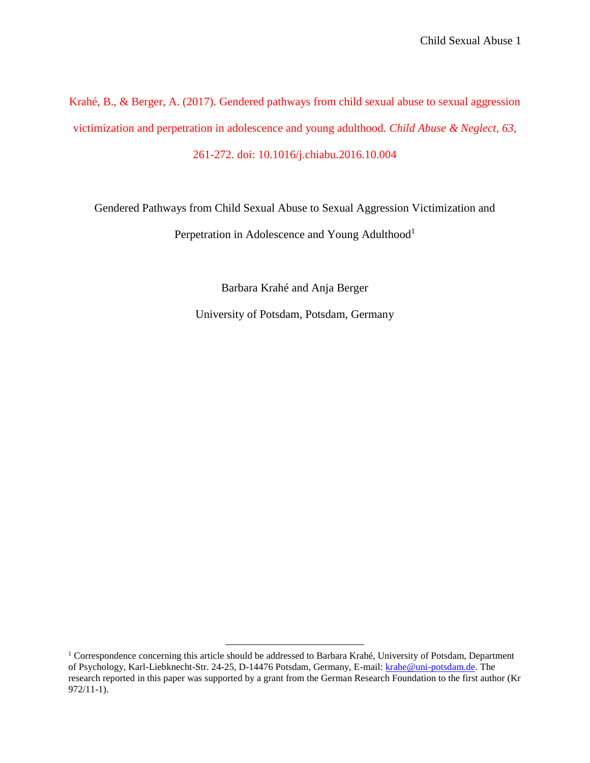Krahé, B., & Berger, A. (2017). Gendered pathways from child sexual abuse to sexual aggression victimization and perpetration in adolescence and young adulthood. *Child Abuse & Neglect*, *63,*  261-272. doi: 10.1016/j.chiabu.2016.10.004

Gendered Pathways from Child Sexual Abuse to Sexual Aggression Victimization and

Perpetration in Adolescence and Young Adulthood<sup>1</sup>

Barbara Krahé and Anja Berger

University of Potsdam, Potsdam, Germany

 $\overline{a}$ 

<sup>&</sup>lt;sup>1</sup> Correspondence concerning this article should be addressed to Barbara Krahé, University of Potsdam, Department of Psychology, Karl-Liebknecht-Str. 24-25, D-14476 Potsdam, Germany, E-mail: [krahe@uni-potsdam.de.](mailto:krahe@uni-potsdam.de) The research reported in this paper was supported by a grant from the German Research Foundation to the first author (Kr 972/11-1).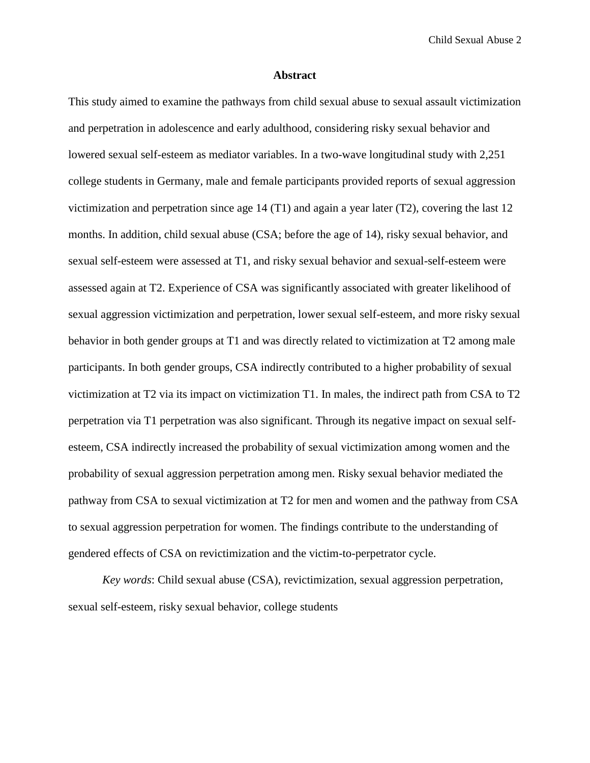#### **Abstract**

This study aimed to examine the pathways from child sexual abuse to sexual assault victimization and perpetration in adolescence and early adulthood, considering risky sexual behavior and lowered sexual self-esteem as mediator variables. In a two-wave longitudinal study with 2,251 college students in Germany, male and female participants provided reports of sexual aggression victimization and perpetration since age 14 (T1) and again a year later (T2), covering the last 12 months. In addition, child sexual abuse (CSA; before the age of 14), risky sexual behavior, and sexual self-esteem were assessed at T1, and risky sexual behavior and sexual-self-esteem were assessed again at T2. Experience of CSA was significantly associated with greater likelihood of sexual aggression victimization and perpetration, lower sexual self-esteem, and more risky sexual behavior in both gender groups at T1 and was directly related to victimization at T2 among male participants. In both gender groups, CSA indirectly contributed to a higher probability of sexual victimization at T2 via its impact on victimization T1. In males, the indirect path from CSA to T2 perpetration via T1 perpetration was also significant. Through its negative impact on sexual selfesteem, CSA indirectly increased the probability of sexual victimization among women and the probability of sexual aggression perpetration among men. Risky sexual behavior mediated the pathway from CSA to sexual victimization at T2 for men and women and the pathway from CSA to sexual aggression perpetration for women. The findings contribute to the understanding of gendered effects of CSA on revictimization and the victim-to-perpetrator cycle.

*Key words*: Child sexual abuse (CSA), revictimization, sexual aggression perpetration, sexual self-esteem, risky sexual behavior, college students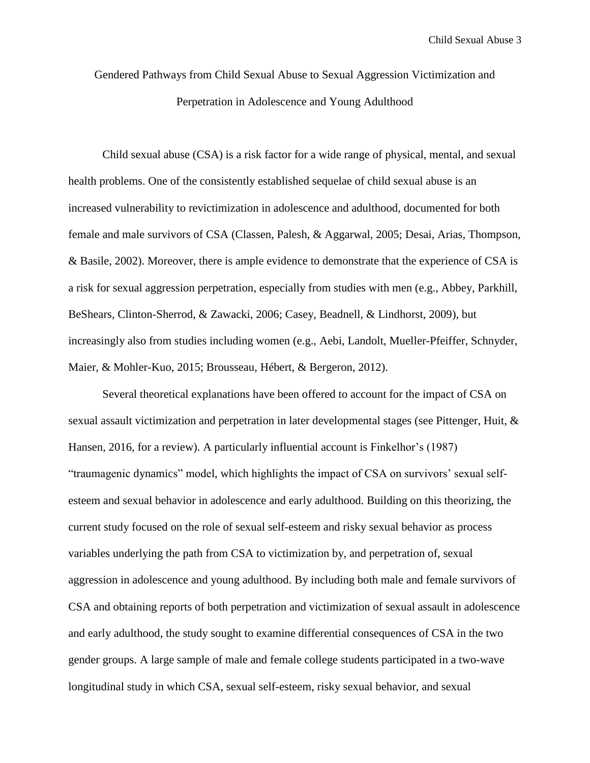Gendered Pathways from Child Sexual Abuse to Sexual Aggression Victimization and Perpetration in Adolescence and Young Adulthood

Child sexual abuse (CSA) is a risk factor for a wide range of physical, mental, and sexual health problems. One of the consistently established sequelae of child sexual abuse is an increased vulnerability to revictimization in adolescence and adulthood, documented for both female and male survivors of CSA (Classen, Palesh, & Aggarwal, 2005; Desai, Arias, Thompson, & Basile, 2002). Moreover, there is ample evidence to demonstrate that the experience of CSA is a risk for sexual aggression perpetration, especially from studies with men (e.g., Abbey, Parkhill, BeShears, Clinton-Sherrod, & Zawacki, 2006; Casey, Beadnell, & Lindhorst, 2009), but increasingly also from studies including women (e.g., Aebi, Landolt, Mueller-Pfeiffer, Schnyder, Maier, & Mohler-Kuo, 2015; Brousseau, Hébert, & Bergeron, 2012).

Several theoretical explanations have been offered to account for the impact of CSA on sexual assault victimization and perpetration in later developmental stages (see Pittenger, Huit, & Hansen, 2016, for a review). A particularly influential account is Finkelhor's (1987) "traumagenic dynamics" model, which highlights the impact of CSA on survivors' sexual selfesteem and sexual behavior in adolescence and early adulthood. Building on this theorizing, the current study focused on the role of sexual self-esteem and risky sexual behavior as process variables underlying the path from CSA to victimization by, and perpetration of, sexual aggression in adolescence and young adulthood. By including both male and female survivors of CSA and obtaining reports of both perpetration and victimization of sexual assault in adolescence and early adulthood, the study sought to examine differential consequences of CSA in the two gender groups. A large sample of male and female college students participated in a two-wave longitudinal study in which CSA, sexual self-esteem, risky sexual behavior, and sexual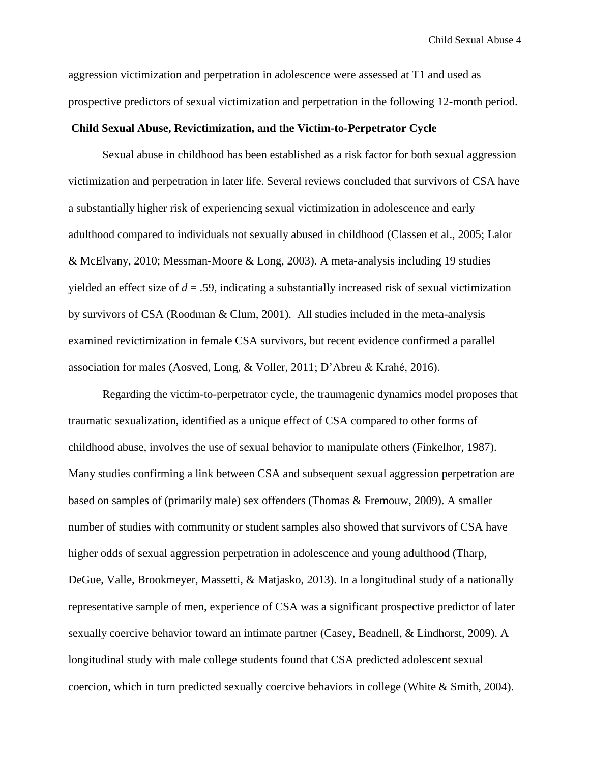aggression victimization and perpetration in adolescence were assessed at T1 and used as prospective predictors of sexual victimization and perpetration in the following 12-month period.

# **Child Sexual Abuse, Revictimization, and the Victim-to-Perpetrator Cycle**

Sexual abuse in childhood has been established as a risk factor for both sexual aggression victimization and perpetration in later life. Several reviews concluded that survivors of CSA have a substantially higher risk of experiencing sexual victimization in adolescence and early adulthood compared to individuals not sexually abused in childhood (Classen et al., 2005; Lalor & McElvany, 2010; Messman-Moore & Long, 2003). A meta-analysis including 19 studies yielded an effect size of  $d = 0.59$ , indicating a substantially increased risk of sexual victimization by survivors of CSA (Roodman & Clum, 2001). All studies included in the meta-analysis examined revictimization in female CSA survivors, but recent evidence confirmed a parallel association for males (Aosved, Long, & Voller, 2011; D'Abreu & Krahé, 2016).

Regarding the victim-to-perpetrator cycle, the traumagenic dynamics model proposes that traumatic sexualization, identified as a unique effect of CSA compared to other forms of childhood abuse, involves the use of sexual behavior to manipulate others (Finkelhor, 1987). Many studies confirming a link between CSA and subsequent sexual aggression perpetration are based on samples of (primarily male) sex offenders (Thomas & Fremouw, 2009). A smaller number of studies with community or student samples also showed that survivors of CSA have higher odds of sexual aggression perpetration in adolescence and young adulthood (Tharp, DeGue, Valle, Brookmeyer, Massetti, & Matjasko, 2013). In a longitudinal study of a nationally representative sample of men, experience of CSA was a significant prospective predictor of later sexually coercive behavior toward an intimate partner (Casey, Beadnell, & Lindhorst, 2009). A longitudinal study with male college students found that CSA predicted adolescent sexual coercion, which in turn predicted sexually coercive behaviors in college (White & Smith, 2004).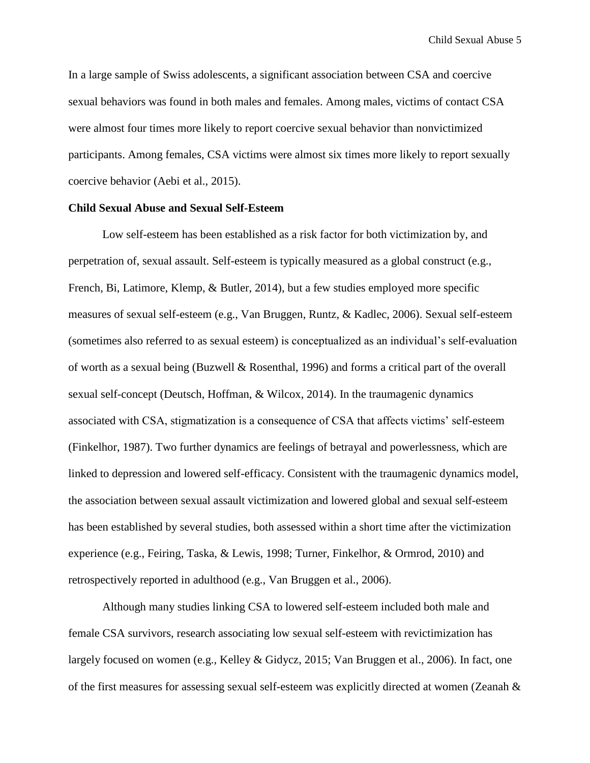In a large sample of Swiss adolescents, a significant association between CSA and coercive sexual behaviors was found in both males and females. Among males, victims of contact CSA were almost four times more likely to report coercive sexual behavior than nonvictimized participants. Among females, CSA victims were almost six times more likely to report sexually coercive behavior (Aebi et al., 2015).

## **Child Sexual Abuse and Sexual Self-Esteem**

Low self-esteem has been established as a risk factor for both victimization by, and perpetration of, sexual assault. Self-esteem is typically measured as a global construct (e.g., French, Bi, Latimore, Klemp, & Butler, 2014), but a few studies employed more specific measures of sexual self-esteem (e.g., Van Bruggen, Runtz, & Kadlec, 2006). Sexual self-esteem (sometimes also referred to as sexual esteem) is conceptualized as an individual's self-evaluation of worth as a sexual being (Buzwell & Rosenthal, 1996) and forms a critical part of the overall sexual self-concept (Deutsch, Hoffman, & Wilcox, 2014). In the traumagenic dynamics associated with CSA, stigmatization is a consequence of CSA that affects victims' self-esteem (Finkelhor, 1987). Two further dynamics are feelings of betrayal and powerlessness, which are linked to depression and lowered self-efficacy. Consistent with the traumagenic dynamics model, the association between sexual assault victimization and lowered global and sexual self-esteem has been established by several studies, both assessed within a short time after the victimization experience (e.g., Feiring, Taska, & Lewis, 1998; Turner, Finkelhor, & Ormrod, 2010) and retrospectively reported in adulthood (e.g., Van Bruggen et al., 2006).

Although many studies linking CSA to lowered self-esteem included both male and female CSA survivors, research associating low sexual self-esteem with revictimization has largely focused on women (e.g., Kelley & Gidycz, 2015; Van Bruggen et al., 2006). In fact, one of the first measures for assessing sexual self-esteem was explicitly directed at women (Zeanah &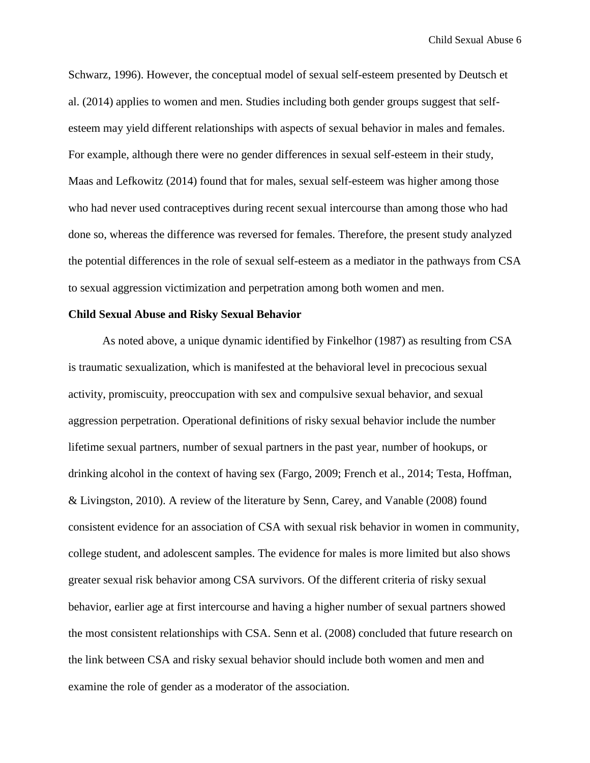Schwarz, 1996). However, the conceptual model of sexual self-esteem presented by Deutsch et al. (2014) applies to women and men. Studies including both gender groups suggest that selfesteem may yield different relationships with aspects of sexual behavior in males and females. For example, although there were no gender differences in sexual self-esteem in their study, Maas and Lefkowitz (2014) found that for males, sexual self-esteem was higher among those who had never used contraceptives during recent sexual intercourse than among those who had done so, whereas the difference was reversed for females. Therefore, the present study analyzed the potential differences in the role of sexual self-esteem as a mediator in the pathways from CSA to sexual aggression victimization and perpetration among both women and men.

# **Child Sexual Abuse and Risky Sexual Behavior**

As noted above, a unique dynamic identified by Finkelhor (1987) as resulting from CSA is traumatic sexualization, which is manifested at the behavioral level in precocious sexual activity, promiscuity, preoccupation with sex and compulsive sexual behavior, and sexual aggression perpetration. Operational definitions of risky sexual behavior include the number lifetime sexual partners, number of sexual partners in the past year, number of hookups, or drinking alcohol in the context of having sex (Fargo, 2009; French et al., 2014; Testa, Hoffman, & Livingston, 2010). A review of the literature by Senn, Carey, and Vanable (2008) found consistent evidence for an association of CSA with sexual risk behavior in women in community, college student, and adolescent samples. The evidence for males is more limited but also shows greater sexual risk behavior among CSA survivors. Of the different criteria of risky sexual behavior, earlier age at first intercourse and having a higher number of sexual partners showed the most consistent relationships with CSA. Senn et al. (2008) concluded that future research on the link between CSA and risky sexual behavior should include both women and men and examine the role of gender as a moderator of the association.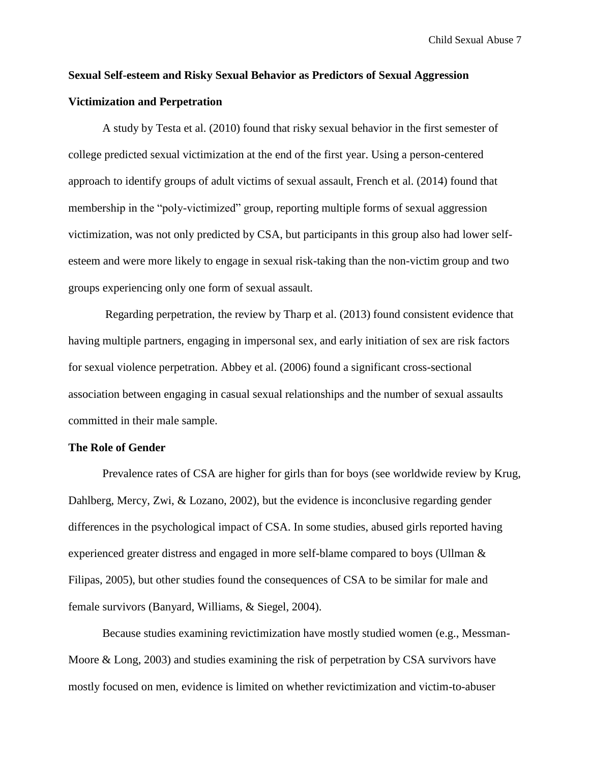# **Sexual Self-esteem and Risky Sexual Behavior as Predictors of Sexual Aggression Victimization and Perpetration**

A study by Testa et al. (2010) found that risky sexual behavior in the first semester of college predicted sexual victimization at the end of the first year. Using a person-centered approach to identify groups of adult victims of sexual assault, French et al. (2014) found that membership in the "poly-victimized" group, reporting multiple forms of sexual aggression victimization, was not only predicted by CSA, but participants in this group also had lower selfesteem and were more likely to engage in sexual risk-taking than the non-victim group and two groups experiencing only one form of sexual assault.

Regarding perpetration, the review by Tharp et al. (2013) found consistent evidence that having multiple partners, engaging in impersonal sex, and early initiation of sex are risk factors for sexual violence perpetration. Abbey et al. (2006) found a significant cross-sectional association between engaging in casual sexual relationships and the number of sexual assaults committed in their male sample.

## **The Role of Gender**

Prevalence rates of CSA are higher for girls than for boys (see worldwide review by Krug, Dahlberg, Mercy, Zwi, & Lozano, 2002), but the evidence is inconclusive regarding gender differences in the psychological impact of CSA. In some studies, abused girls reported having experienced greater distress and engaged in more self-blame compared to boys (Ullman & Filipas, 2005), but other studies found the consequences of CSA to be similar for male and female survivors (Banyard, Williams, & Siegel, 2004).

Because studies examining revictimization have mostly studied women (e.g., Messman-Moore & Long, 2003) and studies examining the risk of perpetration by CSA survivors have mostly focused on men, evidence is limited on whether revictimization and victim-to-abuser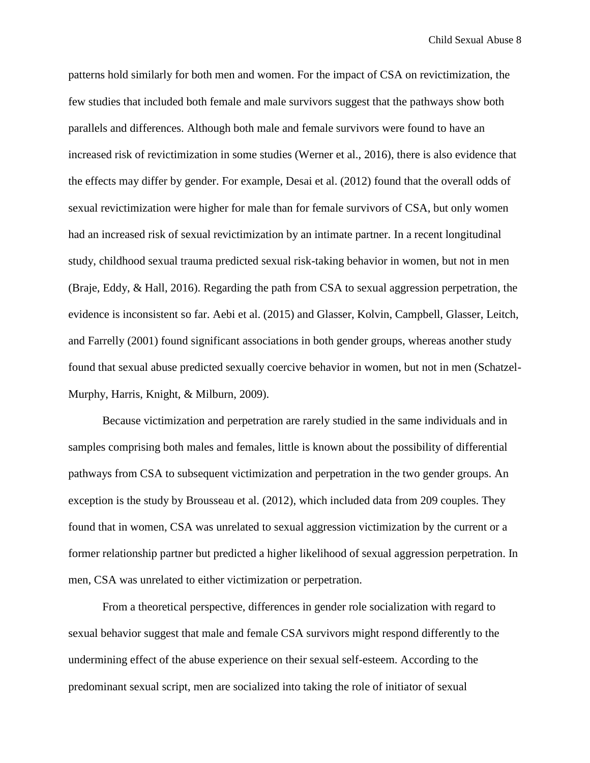patterns hold similarly for both men and women. For the impact of CSA on revictimization, the few studies that included both female and male survivors suggest that the pathways show both parallels and differences. Although both male and female survivors were found to have an increased risk of revictimization in some studies (Werner et al., 2016), there is also evidence that the effects may differ by gender. For example, Desai et al. (2012) found that the overall odds of sexual revictimization were higher for male than for female survivors of CSA, but only women had an increased risk of sexual revictimization by an intimate partner. In a recent longitudinal study, childhood sexual trauma predicted sexual risk-taking behavior in women, but not in men (Braje, Eddy, & Hall, 2016). Regarding the path from CSA to sexual aggression perpetration, the evidence is inconsistent so far. Aebi et al. (2015) and Glasser, Kolvin, Campbell, Glasser, Leitch, and Farrelly (2001) found significant associations in both gender groups, whereas another study found that sexual abuse predicted sexually coercive behavior in women, but not in men (Schatzel-Murphy, Harris, Knight, & Milburn, 2009).

Because victimization and perpetration are rarely studied in the same individuals and in samples comprising both males and females, little is known about the possibility of differential pathways from CSA to subsequent victimization and perpetration in the two gender groups. An exception is the study by Brousseau et al. (2012), which included data from 209 couples. They found that in women, CSA was unrelated to sexual aggression victimization by the current or a former relationship partner but predicted a higher likelihood of sexual aggression perpetration. In men, CSA was unrelated to either victimization or perpetration.

From a theoretical perspective, differences in gender role socialization with regard to sexual behavior suggest that male and female CSA survivors might respond differently to the undermining effect of the abuse experience on their sexual self-esteem. According to the predominant sexual script, men are socialized into taking the role of initiator of sexual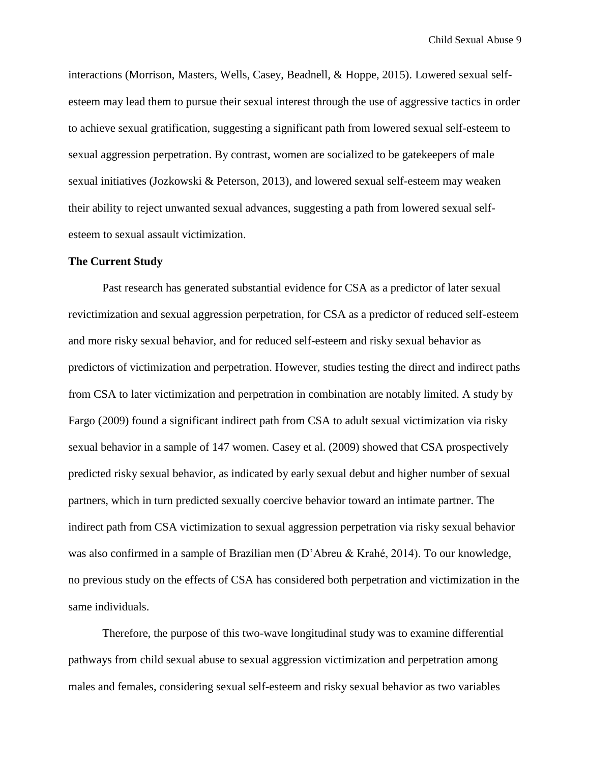interactions (Morrison, Masters, Wells, Casey, Beadnell, & Hoppe, 2015). Lowered sexual selfesteem may lead them to pursue their sexual interest through the use of aggressive tactics in order to achieve sexual gratification, suggesting a significant path from lowered sexual self-esteem to sexual aggression perpetration. By contrast, women are socialized to be gatekeepers of male sexual initiatives (Jozkowski & Peterson, 2013), and lowered sexual self-esteem may weaken their ability to reject unwanted sexual advances, suggesting a path from lowered sexual selfesteem to sexual assault victimization.

#### **The Current Study**

Past research has generated substantial evidence for CSA as a predictor of later sexual revictimization and sexual aggression perpetration, for CSA as a predictor of reduced self-esteem and more risky sexual behavior, and for reduced self-esteem and risky sexual behavior as predictors of victimization and perpetration. However, studies testing the direct and indirect paths from CSA to later victimization and perpetration in combination are notably limited. A study by Fargo (2009) found a significant indirect path from CSA to adult sexual victimization via risky sexual behavior in a sample of 147 women. Casey et al. (2009) showed that CSA prospectively predicted risky sexual behavior, as indicated by early sexual debut and higher number of sexual partners, which in turn predicted sexually coercive behavior toward an intimate partner. The indirect path from CSA victimization to sexual aggression perpetration via risky sexual behavior was also confirmed in a sample of Brazilian men (D'Abreu & Krahé, 2014). To our knowledge, no previous study on the effects of CSA has considered both perpetration and victimization in the same individuals.

Therefore, the purpose of this two-wave longitudinal study was to examine differential pathways from child sexual abuse to sexual aggression victimization and perpetration among males and females, considering sexual self-esteem and risky sexual behavior as two variables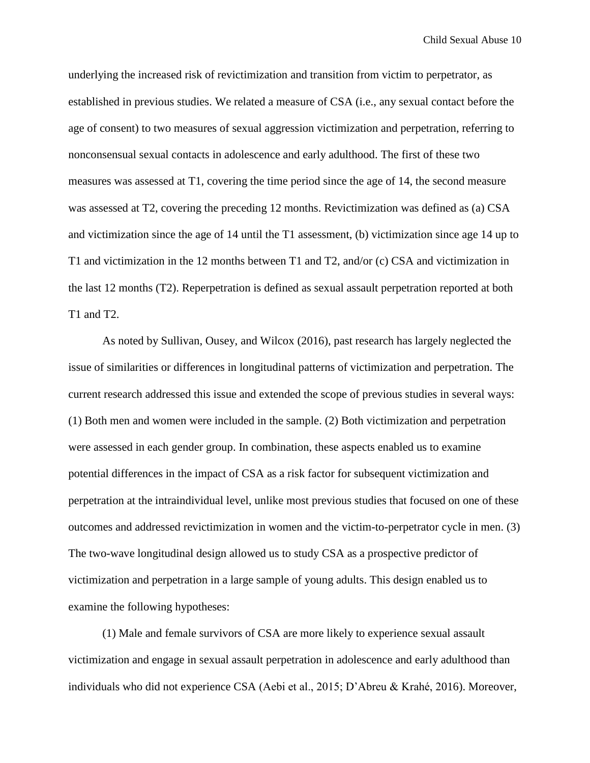underlying the increased risk of revictimization and transition from victim to perpetrator, as established in previous studies. We related a measure of CSA (i.e., any sexual contact before the age of consent) to two measures of sexual aggression victimization and perpetration, referring to nonconsensual sexual contacts in adolescence and early adulthood. The first of these two measures was assessed at T1, covering the time period since the age of 14, the second measure was assessed at T2, covering the preceding 12 months. Revictimization was defined as (a) CSA and victimization since the age of 14 until the T1 assessment, (b) victimization since age 14 up to T1 and victimization in the 12 months between T1 and T2, and/or (c) CSA and victimization in the last 12 months (T2). Reperpetration is defined as sexual assault perpetration reported at both T1 and T2.

As noted by Sullivan, Ousey, and Wilcox (2016), past research has largely neglected the issue of similarities or differences in longitudinal patterns of victimization and perpetration. The current research addressed this issue and extended the scope of previous studies in several ways: (1) Both men and women were included in the sample. (2) Both victimization and perpetration were assessed in each gender group. In combination, these aspects enabled us to examine potential differences in the impact of CSA as a risk factor for subsequent victimization and perpetration at the intraindividual level, unlike most previous studies that focused on one of these outcomes and addressed revictimization in women and the victim-to-perpetrator cycle in men. (3) The two-wave longitudinal design allowed us to study CSA as a prospective predictor of victimization and perpetration in a large sample of young adults. This design enabled us to examine the following hypotheses:

(1) Male and female survivors of CSA are more likely to experience sexual assault victimization and engage in sexual assault perpetration in adolescence and early adulthood than individuals who did not experience CSA (Aebi et al., 2015; D'Abreu & Krahé, 2016). Moreover,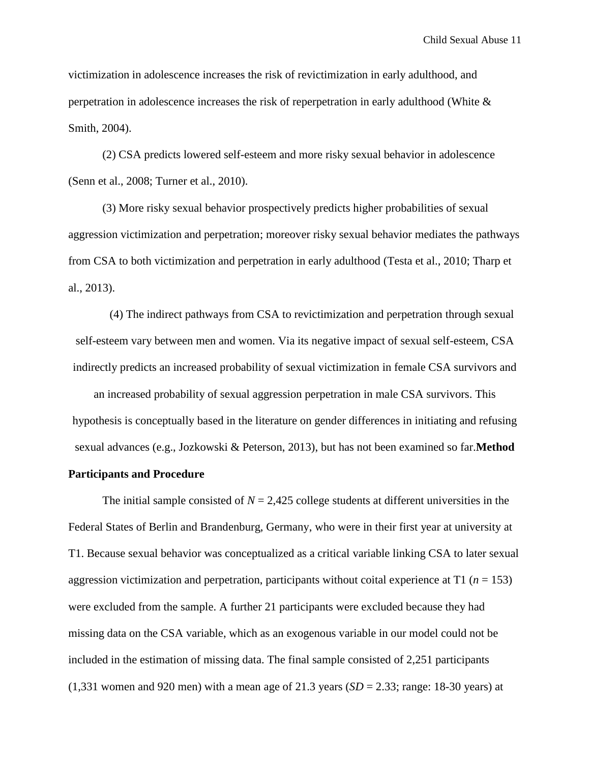victimization in adolescence increases the risk of revictimization in early adulthood, and perpetration in adolescence increases the risk of reperpetration in early adulthood (White & Smith, 2004).

(2) CSA predicts lowered self-esteem and more risky sexual behavior in adolescence (Senn et al., 2008; Turner et al., 2010).

(3) More risky sexual behavior prospectively predicts higher probabilities of sexual aggression victimization and perpetration; moreover risky sexual behavior mediates the pathways from CSA to both victimization and perpetration in early adulthood (Testa et al., 2010; Tharp et al., 2013).

(4) The indirect pathways from CSA to revictimization and perpetration through sexual self-esteem vary between men and women. Via its negative impact of sexual self-esteem, CSA indirectly predicts an increased probability of sexual victimization in female CSA survivors and

an increased probability of sexual aggression perpetration in male CSA survivors. This hypothesis is conceptually based in the literature on gender differences in initiating and refusing sexual advances (e.g., Jozkowski & Peterson, 2013), but has not been examined so far.**Method**

#### **Participants and Procedure**

The initial sample consisted of  $N = 2,425$  college students at different universities in the Federal States of Berlin and Brandenburg, Germany, who were in their first year at university at T1. Because sexual behavior was conceptualized as a critical variable linking CSA to later sexual aggression victimization and perpetration, participants without coital experience at T1 (*n* = 153) were excluded from the sample. A further 21 participants were excluded because they had missing data on the CSA variable, which as an exogenous variable in our model could not be included in the estimation of missing data. The final sample consisted of 2,251 participants  $(1,331)$  women and 920 men) with a mean age of 21.3 years  $(SD = 2.33)$ ; range: 18-30 years) at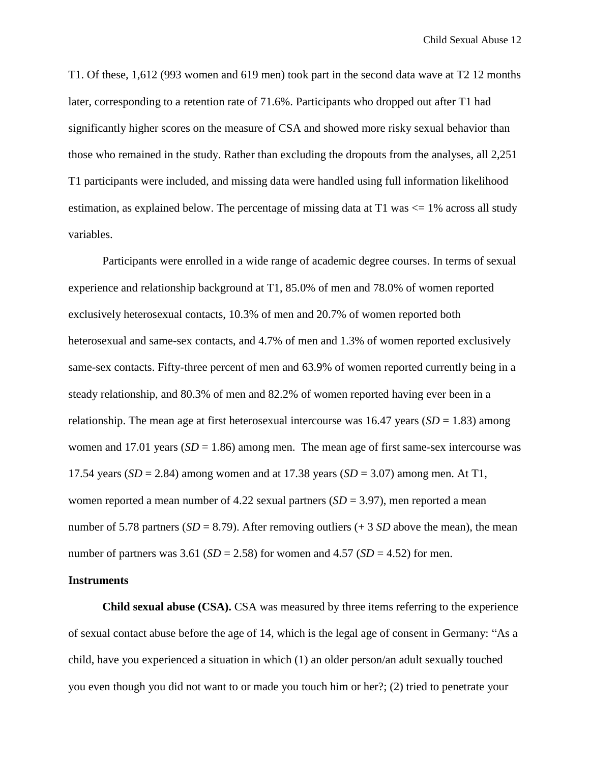T1. Of these, 1,612 (993 women and 619 men) took part in the second data wave at T2 12 months later, corresponding to a retention rate of 71.6%. Participants who dropped out after T1 had significantly higher scores on the measure of CSA and showed more risky sexual behavior than those who remained in the study. Rather than excluding the dropouts from the analyses, all 2,251 T1 participants were included, and missing data were handled using full information likelihood estimation, as explained below. The percentage of missing data at  $T1$  was  $\leq 1\%$  across all study variables.

Participants were enrolled in a wide range of academic degree courses. In terms of sexual experience and relationship background at T1, 85.0% of men and 78.0% of women reported exclusively heterosexual contacts, 10.3% of men and 20.7% of women reported both heterosexual and same-sex contacts, and 4.7% of men and 1.3% of women reported exclusively same-sex contacts. Fifty-three percent of men and 63.9% of women reported currently being in a steady relationship, and 80.3% of men and 82.2% of women reported having ever been in a relationship. The mean age at first heterosexual intercourse was  $16.47$  years (*SD* = 1.83) among women and 17.01 years  $(SD = 1.86)$  among men. The mean age of first same-sex intercourse was 17.54 years (*SD* = 2.84) among women and at 17.38 years (*SD* = 3.07) among men. At T1, women reported a mean number of  $4.22$  sexual partners ( $SD = 3.97$ ), men reported a mean number of 5.78 partners ( $SD = 8.79$ ). After removing outliers (+ 3  $SD$  above the mean), the mean number of partners was  $3.61$  (*SD* = 2.58) for women and  $4.57$  (*SD* = 4.52) for men.

## **Instruments**

**Child sexual abuse (CSA).** CSA was measured by three items referring to the experience of sexual contact abuse before the age of 14, which is the legal age of consent in Germany: "As a child, have you experienced a situation in which (1) an older person/an adult sexually touched you even though you did not want to or made you touch him or her?; (2) tried to penetrate your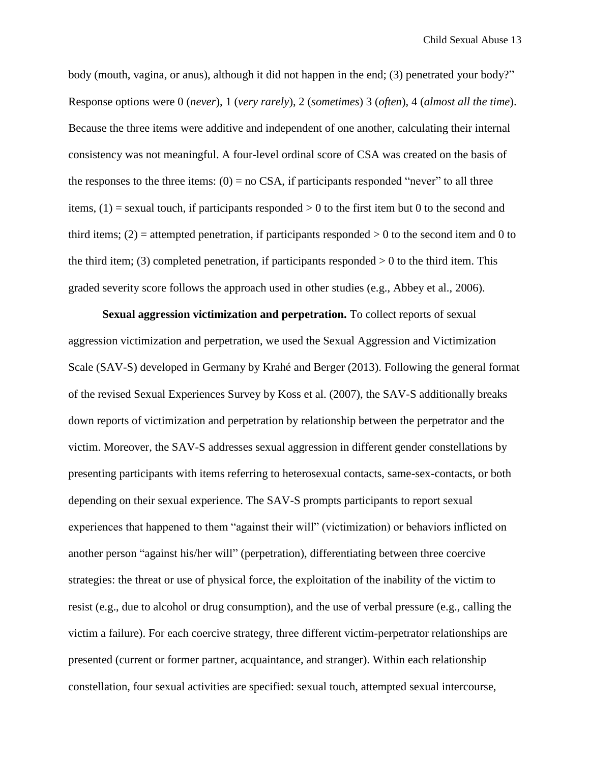body (mouth, vagina, or anus), although it did not happen in the end; (3) penetrated your body?" Response options were 0 (*never*), 1 (*very rarely*), 2 (*sometimes*) 3 (*often*), 4 (*almost all the time*). Because the three items were additive and independent of one another, calculating their internal consistency was not meaningful. A four-level ordinal score of CSA was created on the basis of the responses to the three items:  $(0) = no$  CSA, if participants responded "never" to all three items,  $(1)$  = sexual touch, if participants responded  $> 0$  to the first item but 0 to the second and third items;  $(2)$  = attempted penetration, if participants responded  $> 0$  to the second item and 0 to the third item; (3) completed penetration, if participants responded  $> 0$  to the third item. This graded severity score follows the approach used in other studies (e.g., Abbey et al., 2006).

**Sexual aggression victimization and perpetration.** To collect reports of sexual aggression victimization and perpetration, we used the Sexual Aggression and Victimization Scale (SAV-S) developed in Germany by Krahé and Berger (2013). Following the general format of the revised Sexual Experiences Survey by Koss et al. (2007), the SAV-S additionally breaks down reports of victimization and perpetration by relationship between the perpetrator and the victim. Moreover, the SAV-S addresses sexual aggression in different gender constellations by presenting participants with items referring to heterosexual contacts, same-sex-contacts, or both depending on their sexual experience. The SAV-S prompts participants to report sexual experiences that happened to them "against their will" (victimization) or behaviors inflicted on another person "against his/her will" (perpetration), differentiating between three coercive strategies: the threat or use of physical force, the exploitation of the inability of the victim to resist (e.g., due to alcohol or drug consumption), and the use of verbal pressure (e.g., calling the victim a failure). For each coercive strategy, three different victim-perpetrator relationships are presented (current or former partner, acquaintance, and stranger). Within each relationship constellation, four sexual activities are specified: sexual touch, attempted sexual intercourse,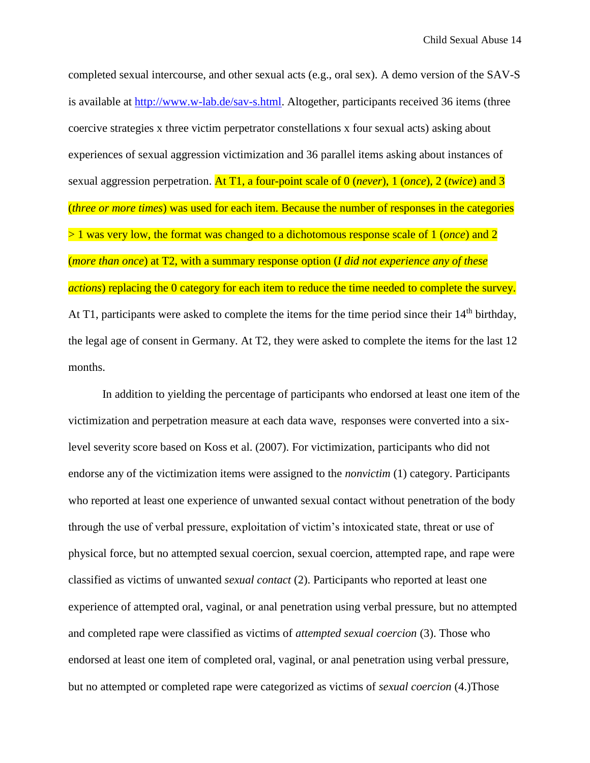completed sexual intercourse, and other sexual acts (e.g., oral sex). A demo version of the SAV-S is available at [http://www.w-lab.de/sav-s.html.](http://www.w-lab.de/sav-s.html) Altogether, participants received 36 items (three coercive strategies x three victim perpetrator constellations x four sexual acts) asking about experiences of sexual aggression victimization and 36 parallel items asking about instances of sexual aggression perpetration. At T1, a four-point scale of 0 (*never*), 1 (*once*), 2 (*twice*) and 3 (*three or more times*) was used for each item. Because the number of responses in the categories > 1 was very low, the format was changed to a dichotomous response scale of 1 (*once*) and 2 (*more than once*) at T2, with a summary response option (*I did not experience any of these actions*) replacing the 0 category for each item to reduce the time needed to complete the survey. At T1, participants were asked to complete the items for the time period since their  $14<sup>th</sup>$  birthday, the legal age of consent in Germany. At T2, they were asked to complete the items for the last 12 months.

In addition to yielding the percentage of participants who endorsed at least one item of the victimization and perpetration measure at each data wave, responses were converted into a sixlevel severity score based on Koss et al. (2007). For victimization, participants who did not endorse any of the victimization items were assigned to the *nonvictim* (1) category. Participants who reported at least one experience of unwanted sexual contact without penetration of the body through the use of verbal pressure, exploitation of victim's intoxicated state, threat or use of physical force, but no attempted sexual coercion, sexual coercion, attempted rape, and rape were classified as victims of unwanted *sexual contact* (2). Participants who reported at least one experience of attempted oral, vaginal, or anal penetration using verbal pressure, but no attempted and completed rape were classified as victims of *attempted sexual coercion* (3). Those who endorsed at least one item of completed oral, vaginal, or anal penetration using verbal pressure, but no attempted or completed rape were categorized as victims of *sexual coercion* (4.)Those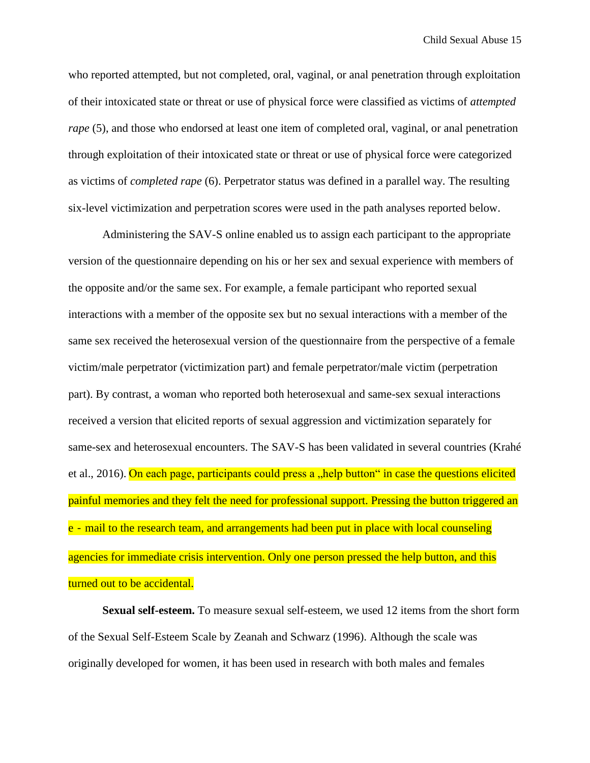who reported attempted, but not completed, oral, vaginal, or anal penetration through exploitation of their intoxicated state or threat or use of physical force were classified as victims of *attempted rape* (5), and those who endorsed at least one item of completed oral, vaginal, or anal penetration through exploitation of their intoxicated state or threat or use of physical force were categorized as victims of *completed rape* (6). Perpetrator status was defined in a parallel way. The resulting six-level victimization and perpetration scores were used in the path analyses reported below.

Administering the SAV-S online enabled us to assign each participant to the appropriate version of the questionnaire depending on his or her sex and sexual experience with members of the opposite and/or the same sex. For example, a female participant who reported sexual interactions with a member of the opposite sex but no sexual interactions with a member of the same sex received the heterosexual version of the questionnaire from the perspective of a female victim/male perpetrator (victimization part) and female perpetrator/male victim (perpetration part). By contrast, a woman who reported both heterosexual and same-sex sexual interactions received a version that elicited reports of sexual aggression and victimization separately for same-sex and heterosexual encounters. The SAV-S has been validated in several countries (Krahé et al., 2016). On each page, participants could press a "help button" in case the questions elicited painful memories and they felt the need for professional support. Pressing the button triggered an e - mail to the research team, and arrangements had been put in place with local counseling agencies for immediate crisis intervention. Only one person pressed the help button, and this turned out to be accidental.

**Sexual self-esteem.** To measure sexual self-esteem, we used 12 items from the short form of the Sexual Self-Esteem Scale by Zeanah and Schwarz (1996). Although the scale was originally developed for women, it has been used in research with both males and females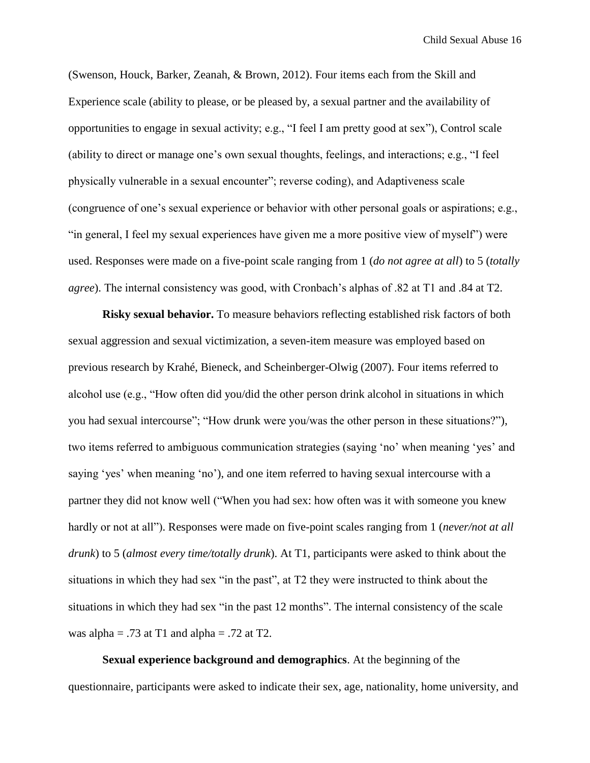(Swenson, Houck, Barker, Zeanah, & Brown, 2012). Four items each from the Skill and Experience scale (ability to please, or be pleased by, a sexual partner and the availability of opportunities to engage in sexual activity; e.g., "I feel I am pretty good at sex"), Control scale (ability to direct or manage one's own sexual thoughts, feelings, and interactions; e.g., "I feel physically vulnerable in a sexual encounter"; reverse coding), and Adaptiveness scale (congruence of one's sexual experience or behavior with other personal goals or aspirations; e.g., "in general, I feel my sexual experiences have given me a more positive view of myself") were used. Responses were made on a five-point scale ranging from 1 (*do not agree at all*) to 5 (*totally agree*). The internal consistency was good, with Cronbach's alphas of .82 at T1 and .84 at T2.

**Risky sexual behavior.** To measure behaviors reflecting established risk factors of both sexual aggression and sexual victimization, a seven-item measure was employed based on previous research by Krahé, Bieneck, and Scheinberger-Olwig (2007). Four items referred to alcohol use (e.g., "How often did you/did the other person drink alcohol in situations in which you had sexual intercourse"; "How drunk were you/was the other person in these situations?"), two items referred to ambiguous communication strategies (saying 'no' when meaning 'yes' and saying 'yes' when meaning 'no'), and one item referred to having sexual intercourse with a partner they did not know well ("When you had sex: how often was it with someone you knew hardly or not at all"). Responses were made on five-point scales ranging from 1 (*never/not at all drunk*) to 5 (*almost every time/totally drunk*). At T1, participants were asked to think about the situations in which they had sex "in the past", at T2 they were instructed to think about the situations in which they had sex "in the past 12 months". The internal consistency of the scale was alpha =  $.73$  at T1 and alpha =  $.72$  at T2.

**Sexual experience background and demographics**. At the beginning of the questionnaire, participants were asked to indicate their sex, age, nationality, home university, and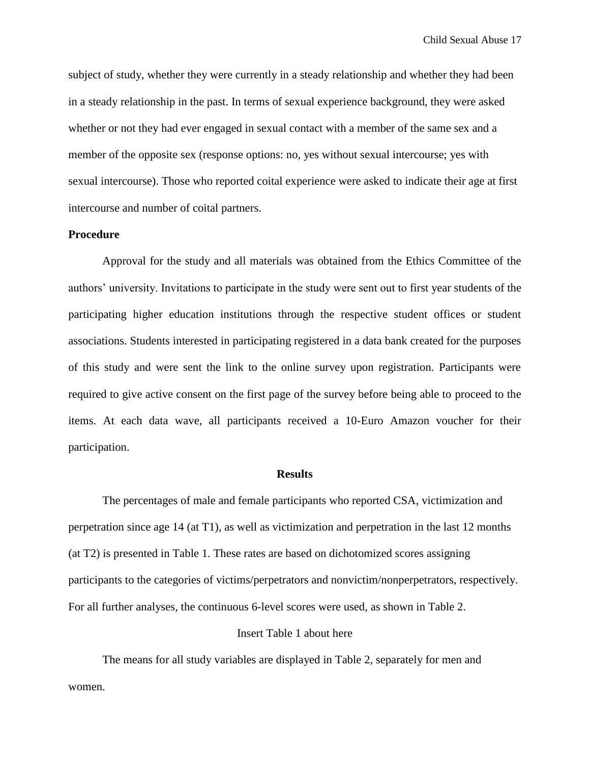subject of study, whether they were currently in a steady relationship and whether they had been in a steady relationship in the past. In terms of sexual experience background, they were asked whether or not they had ever engaged in sexual contact with a member of the same sex and a member of the opposite sex (response options: no, yes without sexual intercourse; yes with sexual intercourse). Those who reported coital experience were asked to indicate their age at first intercourse and number of coital partners.

# **Procedure**

Approval for the study and all materials was obtained from the Ethics Committee of the authors' university. Invitations to participate in the study were sent out to first year students of the participating higher education institutions through the respective student offices or student associations. Students interested in participating registered in a data bank created for the purposes of this study and were sent the link to the online survey upon registration. Participants were required to give active consent on the first page of the survey before being able to proceed to the items. At each data wave, all participants received a 10-Euro Amazon voucher for their participation.

#### **Results**

The percentages of male and female participants who reported CSA, victimization and perpetration since age 14 (at T1), as well as victimization and perpetration in the last 12 months (at T2) is presented in Table 1. These rates are based on dichotomized scores assigning participants to the categories of victims/perpetrators and nonvictim/nonperpetrators, respectively. For all further analyses, the continuous 6-level scores were used, as shown in Table 2.

# Insert Table 1 about here

The means for all study variables are displayed in Table 2, separately for men and women.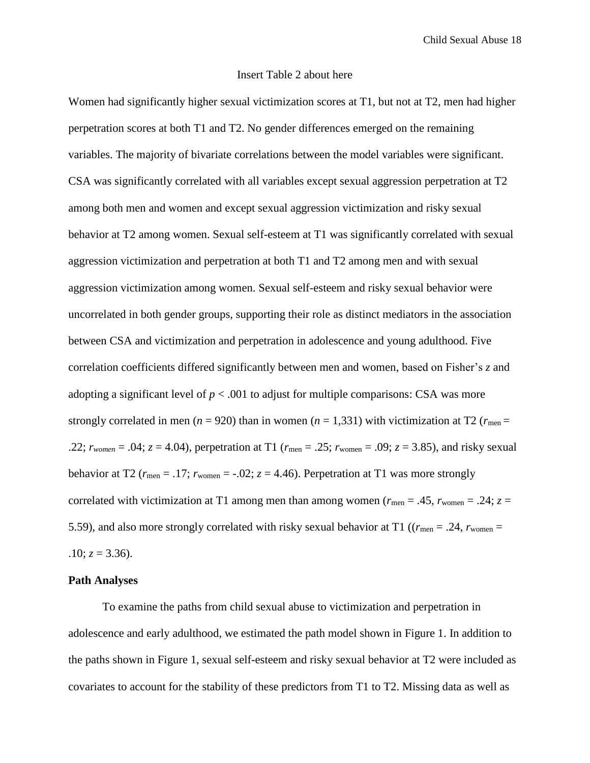## Insert Table 2 about here

Women had significantly higher sexual victimization scores at T1, but not at T2, men had higher perpetration scores at both T1 and T2. No gender differences emerged on the remaining variables. The majority of bivariate correlations between the model variables were significant. CSA was significantly correlated with all variables except sexual aggression perpetration at T2 among both men and women and except sexual aggression victimization and risky sexual behavior at T2 among women. Sexual self-esteem at T1 was significantly correlated with sexual aggression victimization and perpetration at both T1 and T2 among men and with sexual aggression victimization among women. Sexual self-esteem and risky sexual behavior were uncorrelated in both gender groups, supporting their role as distinct mediators in the association between CSA and victimization and perpetration in adolescence and young adulthood. Five correlation coefficients differed significantly between men and women, based on Fisher's *z* and adopting a significant level of  $p < .001$  to adjust for multiple comparisons: CSA was more strongly correlated in men ( $n = 920$ ) than in women ( $n = 1,331$ ) with victimization at T2 ( $r_{\text{men}} =$ .22;  $r_{women} = .04$ ;  $z = 4.04$ ), perpetration at T1 ( $r_{men} = .25$ ;  $r_{women} = .09$ ;  $z = 3.85$ ), and risky sexual behavior at T2 ( $r_{\text{men}} = .17$ ;  $r_{\text{women}} = .02$ ;  $z = 4.46$ ). Perpetration at T1 was more strongly correlated with victimization at T1 among men than among women ( $r_{\text{men}} = .45$ ,  $r_{\text{women}} = .24$ ;  $z =$ 5.59), and also more strongly correlated with risky sexual behavior at T1 ( $(r_{\text{men}} = .24, r_{\text{women}} = .24)$  $.10; z = 3.36$ .

#### **Path Analyses**

To examine the paths from child sexual abuse to victimization and perpetration in adolescence and early adulthood, we estimated the path model shown in Figure 1. In addition to the paths shown in Figure 1, sexual self-esteem and risky sexual behavior at T2 were included as covariates to account for the stability of these predictors from T1 to T2. Missing data as well as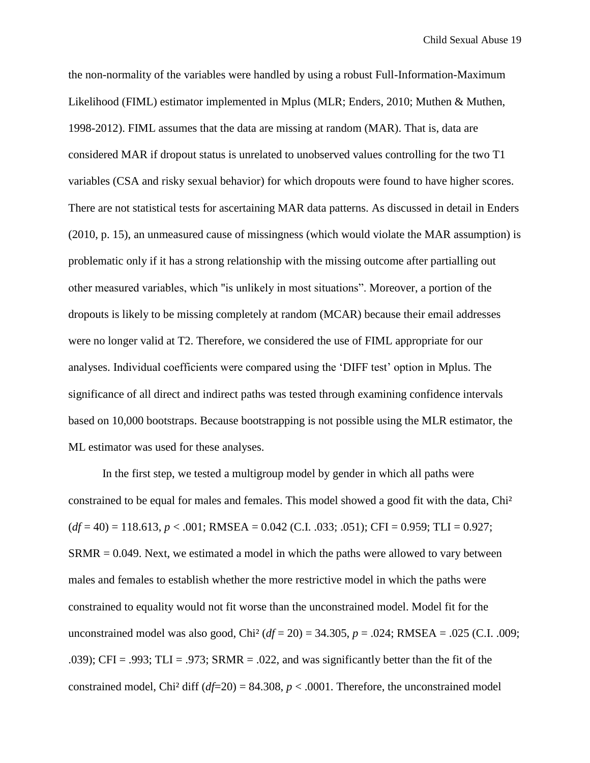the non-normality of the variables were handled by using a robust Full-Information-Maximum Likelihood (FIML) estimator implemented in Mplus (MLR; Enders, 2010; Muthen & Muthen, 1998-2012). FIML assumes that the data are missing at random (MAR). That is, data are considered MAR if dropout status is unrelated to unobserved values controlling for the two T1 variables (CSA and risky sexual behavior) for which dropouts were found to have higher scores. There are not statistical tests for ascertaining MAR data patterns. As discussed in detail in Enders (2010, p. 15), an unmeasured cause of missingness (which would violate the MAR assumption) is problematic only if it has a strong relationship with the missing outcome after partialling out other measured variables, which "is unlikely in most situations". Moreover, a portion of the dropouts is likely to be missing completely at random (MCAR) because their email addresses were no longer valid at T2. Therefore, we considered the use of FIML appropriate for our analyses. Individual coefficients were compared using the 'DIFF test' option in Mplus. The significance of all direct and indirect paths was tested through examining confidence intervals based on 10,000 bootstraps. Because bootstrapping is not possible using the MLR estimator, the ML estimator was used for these analyses.

In the first step, we tested a multigroup model by gender in which all paths were constrained to be equal for males and females. This model showed a good fit with the data, Chi²  $(df = 40) = 118.613, p < .001; RMSEA = 0.042$  (C.I. .033; .051); CFI = 0.959; TLI = 0.927; SRMR = 0.049. Next, we estimated a model in which the paths were allowed to vary between males and females to establish whether the more restrictive model in which the paths were constrained to equality would not fit worse than the unconstrained model. Model fit for the unconstrained model was also good, Chi<sup>2</sup> ( $df = 20$ ) = 34.305,  $p = .024$ ; RMSEA = .025 (C.I. .009; .039); CFI = .993; TLI = .973; SRMR = .022, and was significantly better than the fit of the constrained model, Chi<sup>2</sup> diff ( $df=20$ ) = 84.308,  $p < .0001$ . Therefore, the unconstrained model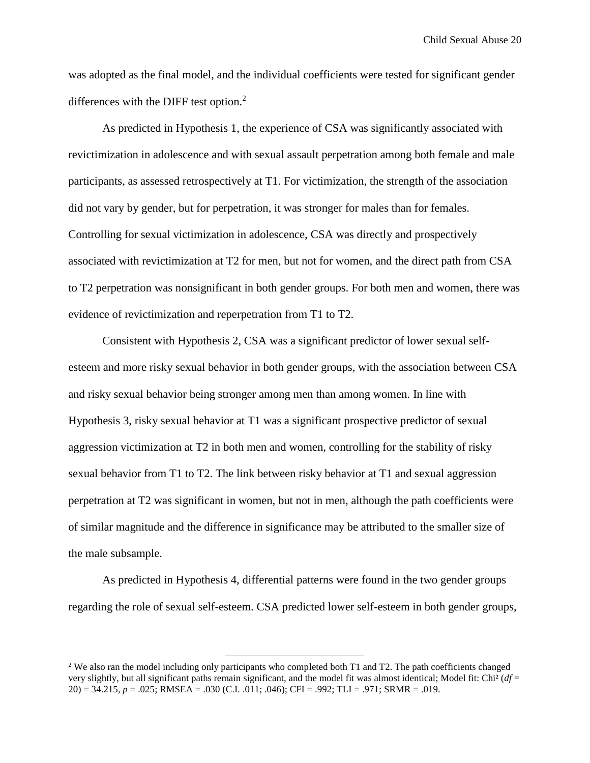was adopted as the final model, and the individual coefficients were tested for significant gender differences with the DIFF test option.<sup>2</sup>

As predicted in Hypothesis 1, the experience of CSA was significantly associated with revictimization in adolescence and with sexual assault perpetration among both female and male participants, as assessed retrospectively at T1. For victimization, the strength of the association did not vary by gender, but for perpetration, it was stronger for males than for females. Controlling for sexual victimization in adolescence, CSA was directly and prospectively associated with revictimization at T2 for men, but not for women, and the direct path from CSA to T2 perpetration was nonsignificant in both gender groups. For both men and women, there was evidence of revictimization and reperpetration from T1 to T2.

Consistent with Hypothesis 2, CSA was a significant predictor of lower sexual selfesteem and more risky sexual behavior in both gender groups, with the association between CSA and risky sexual behavior being stronger among men than among women. In line with Hypothesis 3, risky sexual behavior at T1 was a significant prospective predictor of sexual aggression victimization at T2 in both men and women, controlling for the stability of risky sexual behavior from T1 to T2. The link between risky behavior at T1 and sexual aggression perpetration at T2 was significant in women, but not in men, although the path coefficients were of similar magnitude and the difference in significance may be attributed to the smaller size of the male subsample.

As predicted in Hypothesis 4, differential patterns were found in the two gender groups regarding the role of sexual self-esteem. CSA predicted lower self-esteem in both gender groups,

 $\overline{a}$ 

<sup>&</sup>lt;sup>2</sup> We also ran the model including only participants who completed both T1 and T2. The path coefficients changed very slightly, but all significant paths remain significant, and the model fit was almost identical; Model fit: Chi² (*df* = 20) = 34.215, *p* = .025; RMSEA = .030 (C.I. .011; .046); CFI = .992; TLI = .971; SRMR = .019.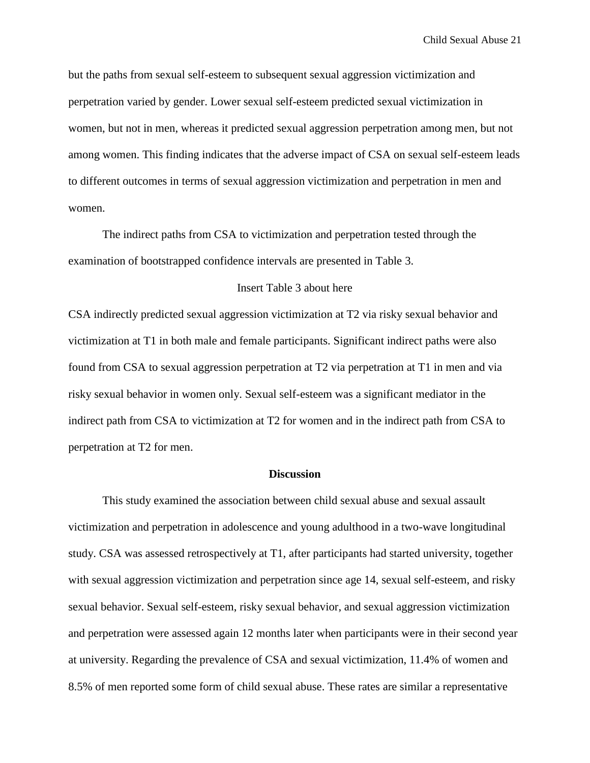but the paths from sexual self-esteem to subsequent sexual aggression victimization and perpetration varied by gender. Lower sexual self-esteem predicted sexual victimization in women, but not in men, whereas it predicted sexual aggression perpetration among men, but not among women. This finding indicates that the adverse impact of CSA on sexual self-esteem leads to different outcomes in terms of sexual aggression victimization and perpetration in men and women.

The indirect paths from CSA to victimization and perpetration tested through the examination of bootstrapped confidence intervals are presented in Table 3.

#### Insert Table 3 about here

CSA indirectly predicted sexual aggression victimization at T2 via risky sexual behavior and victimization at T1 in both male and female participants. Significant indirect paths were also found from CSA to sexual aggression perpetration at T2 via perpetration at T1 in men and via risky sexual behavior in women only. Sexual self-esteem was a significant mediator in the indirect path from CSA to victimization at T2 for women and in the indirect path from CSA to perpetration at T2 for men.

# **Discussion**

This study examined the association between child sexual abuse and sexual assault victimization and perpetration in adolescence and young adulthood in a two-wave longitudinal study. CSA was assessed retrospectively at T1, after participants had started university, together with sexual aggression victimization and perpetration since age 14, sexual self-esteem, and risky sexual behavior. Sexual self-esteem, risky sexual behavior, and sexual aggression victimization and perpetration were assessed again 12 months later when participants were in their second year at university. Regarding the prevalence of CSA and sexual victimization, 11.4% of women and 8.5% of men reported some form of child sexual abuse. These rates are similar a representative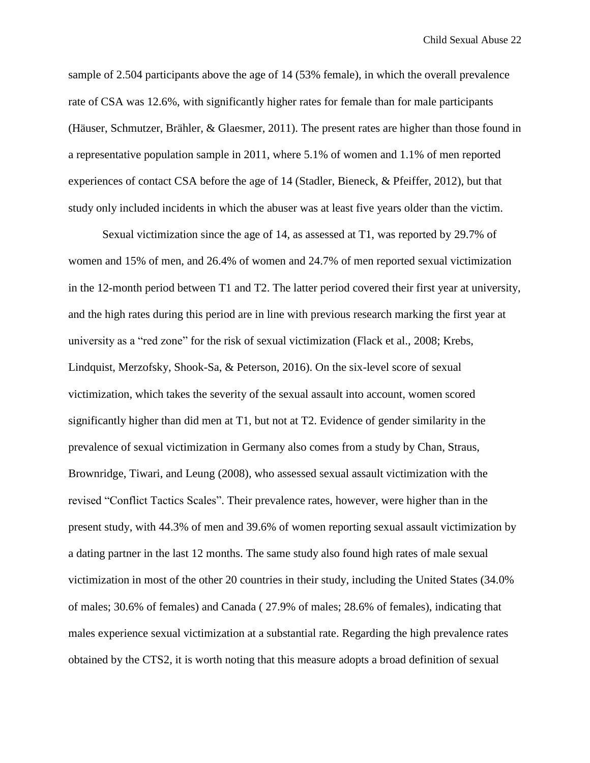sample of 2.504 participants above the age of 14 (53% female), in which the overall prevalence rate of CSA was 12.6%, with significantly higher rates for female than for male participants (Häuser, Schmutzer, Brähler, & Glaesmer, 2011). The present rates are higher than those found in a representative population sample in 2011, where 5.1% of women and 1.1% of men reported experiences of contact CSA before the age of 14 (Stadler, Bieneck, & Pfeiffer, 2012), but that study only included incidents in which the abuser was at least five years older than the victim.

Sexual victimization since the age of 14, as assessed at T1, was reported by 29.7% of women and 15% of men, and 26.4% of women and 24.7% of men reported sexual victimization in the 12-month period between T1 and T2. The latter period covered their first year at university, and the high rates during this period are in line with previous research marking the first year at university as a "red zone" for the risk of sexual victimization (Flack et al., 2008; Krebs, Lindquist, Merzofsky, Shook-Sa, & Peterson, 2016). On the six-level score of sexual victimization, which takes the severity of the sexual assault into account, women scored significantly higher than did men at T1, but not at T2. Evidence of gender similarity in the prevalence of sexual victimization in Germany also comes from a study by Chan, Straus, Brownridge, Tiwari, and Leung (2008), who assessed sexual assault victimization with the revised "Conflict Tactics Scales". Their prevalence rates, however, were higher than in the present study, with 44.3% of men and 39.6% of women reporting sexual assault victimization by a dating partner in the last 12 months. The same study also found high rates of male sexual victimization in most of the other 20 countries in their study, including the United States (34.0% of males; 30.6% of females) and Canada ( 27.9% of males; 28.6% of females), indicating that males experience sexual victimization at a substantial rate. Regarding the high prevalence rates obtained by the CTS2, it is worth noting that this measure adopts a broad definition of sexual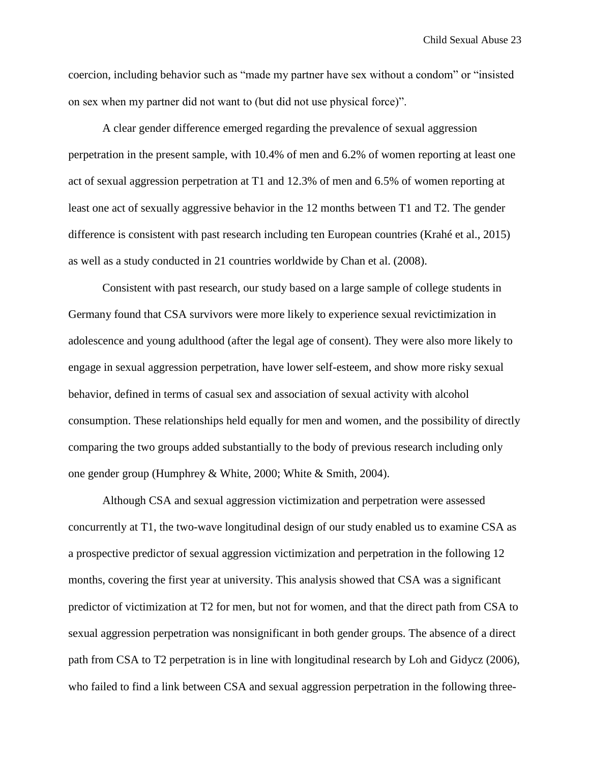coercion, including behavior such as "made my partner have sex without a condom" or "insisted on sex when my partner did not want to (but did not use physical force)".

A clear gender difference emerged regarding the prevalence of sexual aggression perpetration in the present sample, with 10.4% of men and 6.2% of women reporting at least one act of sexual aggression perpetration at T1 and 12.3% of men and 6.5% of women reporting at least one act of sexually aggressive behavior in the 12 months between T1 and T2. The gender difference is consistent with past research including ten European countries (Krahé et al., 2015) as well as a study conducted in 21 countries worldwide by Chan et al. (2008).

Consistent with past research, our study based on a large sample of college students in Germany found that CSA survivors were more likely to experience sexual revictimization in adolescence and young adulthood (after the legal age of consent). They were also more likely to engage in sexual aggression perpetration, have lower self-esteem, and show more risky sexual behavior, defined in terms of casual sex and association of sexual activity with alcohol consumption. These relationships held equally for men and women, and the possibility of directly comparing the two groups added substantially to the body of previous research including only one gender group (Humphrey & White, 2000; White & Smith, 2004).

Although CSA and sexual aggression victimization and perpetration were assessed concurrently at T1, the two-wave longitudinal design of our study enabled us to examine CSA as a prospective predictor of sexual aggression victimization and perpetration in the following 12 months, covering the first year at university. This analysis showed that CSA was a significant predictor of victimization at T2 for men, but not for women, and that the direct path from CSA to sexual aggression perpetration was nonsignificant in both gender groups. The absence of a direct path from CSA to T2 perpetration is in line with longitudinal research by Loh and Gidycz (2006), who failed to find a link between CSA and sexual aggression perpetration in the following three-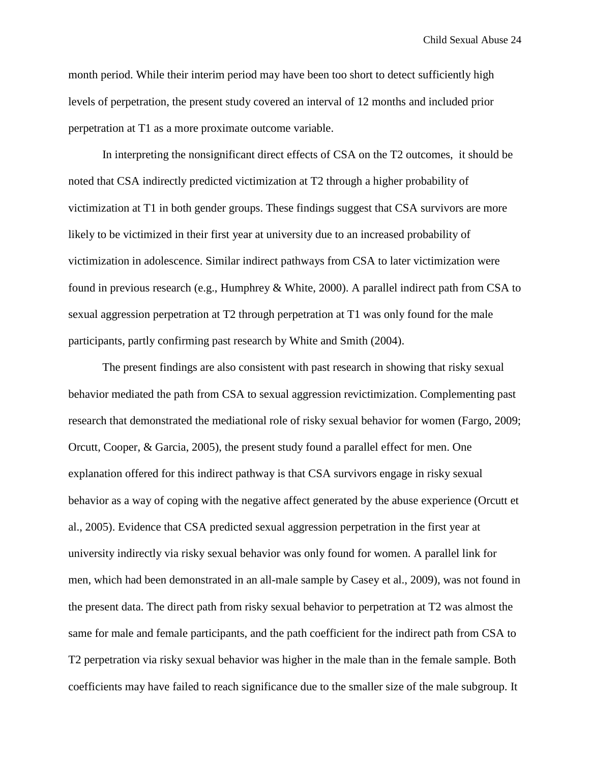month period. While their interim period may have been too short to detect sufficiently high levels of perpetration, the present study covered an interval of 12 months and included prior perpetration at T1 as a more proximate outcome variable.

In interpreting the nonsignificant direct effects of CSA on the T2 outcomes, it should be noted that CSA indirectly predicted victimization at T2 through a higher probability of victimization at T1 in both gender groups. These findings suggest that CSA survivors are more likely to be victimized in their first year at university due to an increased probability of victimization in adolescence. Similar indirect pathways from CSA to later victimization were found in previous research (e.g., Humphrey & White, 2000). A parallel indirect path from CSA to sexual aggression perpetration at T2 through perpetration at T1 was only found for the male participants, partly confirming past research by White and Smith (2004).

The present findings are also consistent with past research in showing that risky sexual behavior mediated the path from CSA to sexual aggression revictimization. Complementing past research that demonstrated the mediational role of risky sexual behavior for women (Fargo, 2009; Orcutt, Cooper, & Garcia, 2005), the present study found a parallel effect for men. One explanation offered for this indirect pathway is that CSA survivors engage in risky sexual behavior as a way of coping with the negative affect generated by the abuse experience (Orcutt et al., 2005). Evidence that CSA predicted sexual aggression perpetration in the first year at university indirectly via risky sexual behavior was only found for women. A parallel link for men, which had been demonstrated in an all-male sample by Casey et al., 2009), was not found in the present data. The direct path from risky sexual behavior to perpetration at T2 was almost the same for male and female participants, and the path coefficient for the indirect path from CSA to T2 perpetration via risky sexual behavior was higher in the male than in the female sample. Both coefficients may have failed to reach significance due to the smaller size of the male subgroup. It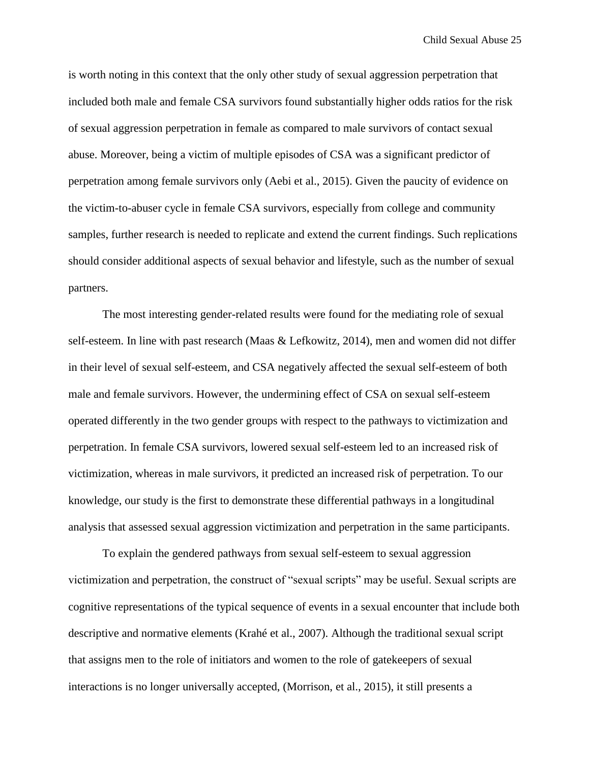is worth noting in this context that the only other study of sexual aggression perpetration that included both male and female CSA survivors found substantially higher odds ratios for the risk of sexual aggression perpetration in female as compared to male survivors of contact sexual abuse. Moreover, being a victim of multiple episodes of CSA was a significant predictor of perpetration among female survivors only (Aebi et al., 2015). Given the paucity of evidence on the victim-to-abuser cycle in female CSA survivors, especially from college and community samples, further research is needed to replicate and extend the current findings. Such replications should consider additional aspects of sexual behavior and lifestyle, such as the number of sexual partners.

The most interesting gender-related results were found for the mediating role of sexual self-esteem. In line with past research (Maas & Lefkowitz, 2014), men and women did not differ in their level of sexual self-esteem, and CSA negatively affected the sexual self-esteem of both male and female survivors. However, the undermining effect of CSA on sexual self-esteem operated differently in the two gender groups with respect to the pathways to victimization and perpetration. In female CSA survivors, lowered sexual self-esteem led to an increased risk of victimization, whereas in male survivors, it predicted an increased risk of perpetration. To our knowledge, our study is the first to demonstrate these differential pathways in a longitudinal analysis that assessed sexual aggression victimization and perpetration in the same participants.

To explain the gendered pathways from sexual self-esteem to sexual aggression victimization and perpetration, the construct of "sexual scripts" may be useful. Sexual scripts are cognitive representations of the typical sequence of events in a sexual encounter that include both descriptive and normative elements (Krahé et al., 2007). Although the traditional sexual script that assigns men to the role of initiators and women to the role of gatekeepers of sexual interactions is no longer universally accepted, (Morrison, et al., 2015), it still presents a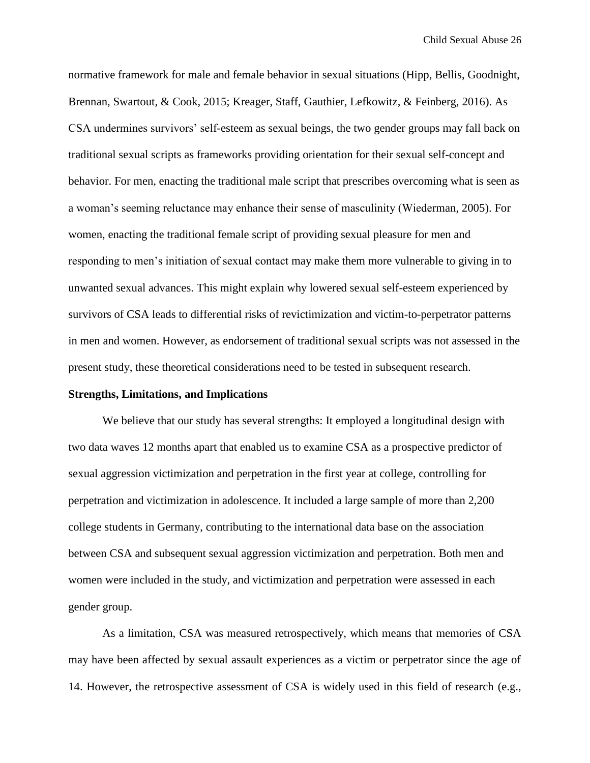normative framework for male and female behavior in sexual situations (Hipp, Bellis, Goodnight, Brennan, Swartout, & Cook, 2015; Kreager, Staff, Gauthier, Lefkowitz, & Feinberg, 2016). As CSA undermines survivors' self-esteem as sexual beings, the two gender groups may fall back on traditional sexual scripts as frameworks providing orientation for their sexual self-concept and behavior. For men, enacting the traditional male script that prescribes overcoming what is seen as a woman's seeming reluctance may enhance their sense of masculinity (Wiederman, 2005). For women, enacting the traditional female script of providing sexual pleasure for men and responding to men's initiation of sexual contact may make them more vulnerable to giving in to unwanted sexual advances. This might explain why lowered sexual self-esteem experienced by survivors of CSA leads to differential risks of revictimization and victim-to-perpetrator patterns in men and women. However, as endorsement of traditional sexual scripts was not assessed in the present study, these theoretical considerations need to be tested in subsequent research.

#### **Strengths, Limitations, and Implications**

We believe that our study has several strengths: It employed a longitudinal design with two data waves 12 months apart that enabled us to examine CSA as a prospective predictor of sexual aggression victimization and perpetration in the first year at college, controlling for perpetration and victimization in adolescence. It included a large sample of more than 2,200 college students in Germany, contributing to the international data base on the association between CSA and subsequent sexual aggression victimization and perpetration. Both men and women were included in the study, and victimization and perpetration were assessed in each gender group.

As a limitation, CSA was measured retrospectively, which means that memories of CSA may have been affected by sexual assault experiences as a victim or perpetrator since the age of 14. However, the retrospective assessment of CSA is widely used in this field of research (e.g.,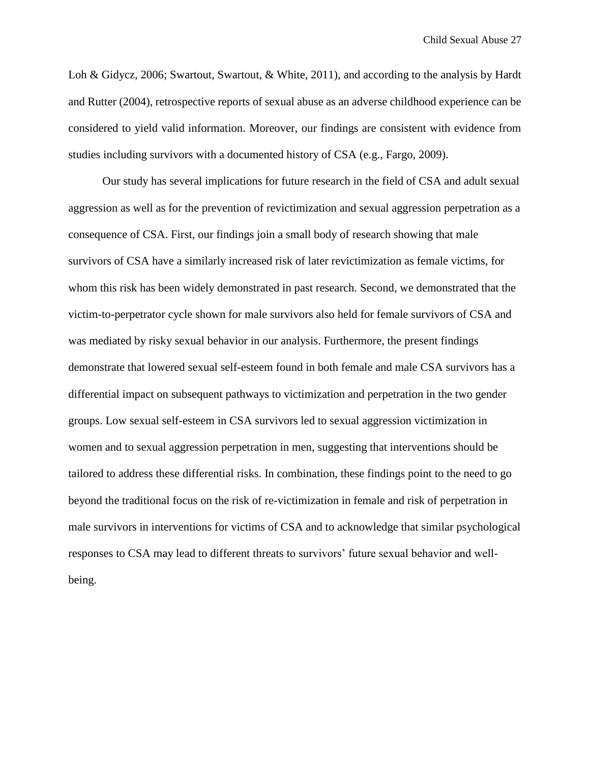Loh & Gidycz, 2006; Swartout, Swartout, & White, 2011), and according to the analysis by Hardt and Rutter (2004), retrospective reports of sexual abuse as an adverse childhood experience can be considered to yield valid information. Moreover, our findings are consistent with evidence from studies including survivors with a documented history of CSA (e.g., Fargo, 2009).

Our study has several implications for future research in the field of CSA and adult sexual aggression as well as for the prevention of revictimization and sexual aggression perpetration as a consequence of CSA. First, our findings join a small body of research showing that male survivors of CSA have a similarly increased risk of later revictimization as female victims, for whom this risk has been widely demonstrated in past research. Second, we demonstrated that the victim-to-perpetrator cycle shown for male survivors also held for female survivors of CSA and was mediated by risky sexual behavior in our analysis. Furthermore, the present findings demonstrate that lowered sexual self-esteem found in both female and male CSA survivors has a differential impact on subsequent pathways to victimization and perpetration in the two gender groups. Low sexual self-esteem in CSA survivors led to sexual aggression victimization in women and to sexual aggression perpetration in men, suggesting that interventions should be tailored to address these differential risks. In combination, these findings point to the need to go beyond the traditional focus on the risk of re-victimization in female and risk of perpetration in male survivors in interventions for victims of CSA and to acknowledge that similar psychological responses to CSA may lead to different threats to survivors' future sexual behavior and wellbeing.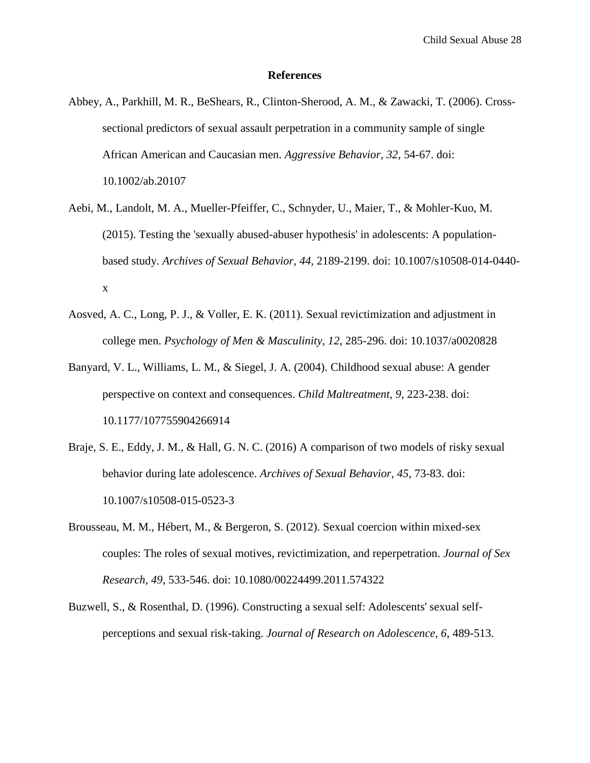#### **References**

- Abbey, A., Parkhill, M. R., BeShears, R., Clinton-Sherood, A. M., & Zawacki, T. (2006). Crosssectional predictors of sexual assault perpetration in a community sample of single African American and Caucasian men. *Aggressive Behavior, 32*, 54-67. doi: 10.1002/ab.20107
- Aebi, M., Landolt, M. A., Mueller-Pfeiffer, C., Schnyder, U., Maier, T., & Mohler-Kuo, M. (2015). Testing the 'sexually abused-abuser hypothesis' in adolescents: A populationbased study. *Archives of Sexual Behavior, 44*, 2189-2199. doi: 10.1007/s10508-014-0440 x
- Aosved, A. C., Long, P. J., & Voller, E. K. (2011). Sexual revictimization and adjustment in college men. *Psychology of Men & Masculinity, 12*, 285-296. doi: 10.1037/a0020828
- Banyard, V. L., Williams, L. M., & Siegel, J. A. (2004). Childhood sexual abuse: A gender perspective on context and consequences. *Child Maltreatment, 9*, 223-238. doi: 10.1177/107755904266914
- Braje, S. E., Eddy, J. M., & Hall, G. N. C. (2016) A comparison of two models of risky sexual behavior during late adolescence. *Archives of Sexual Behavior, 45*, 73-83. doi: 10.1007/s10508-015-0523-3
- Brousseau, M. M., Hébert, M., & Bergeron, S. (2012). Sexual coercion within mixed-sex couples: The roles of sexual motives, revictimization, and reperpetration. *Journal of Sex Research, 49*, 533-546. doi: 10.1080/00224499.2011.574322
- Buzwell, S., & Rosenthal, D. (1996). Constructing a sexual self: Adolescents' sexual selfperceptions and sexual risk-taking. *Journal of Research on Adolescence, 6*, 489-513.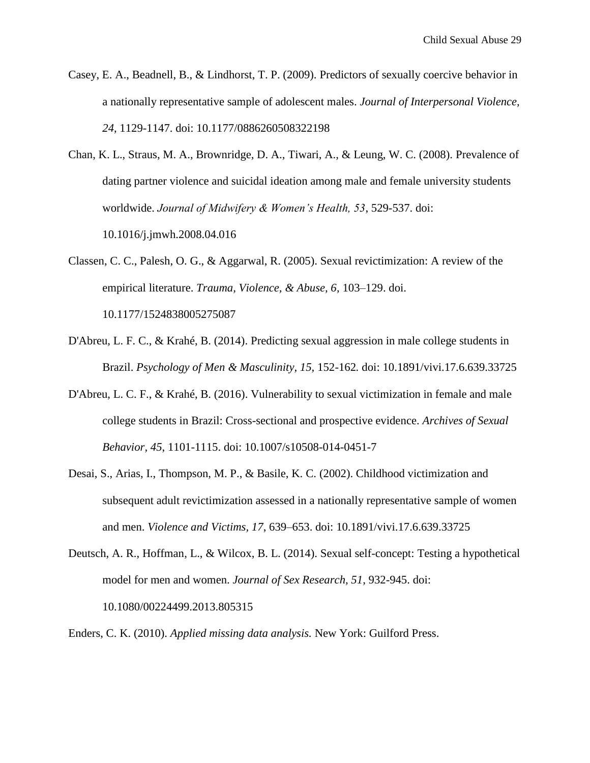- Casey, E. A., Beadnell, B., & Lindhorst, T. P. (2009). Predictors of sexually coercive behavior in a nationally representative sample of adolescent males. *Journal of Interpersonal Violence, 24*, 1129-1147. doi: 10.1177/0886260508322198
- Chan, K. L., Straus, M. A., Brownridge, D. A., Tiwari, A., & Leung, W. C. (2008). Prevalence of dating partner violence and suicidal ideation among male and female university students worldwide. *Journal of Midwifery & Women's Health, 53*, 529-537. doi: 10.1016/j.jmwh.2008.04.016
- Classen, C. C., Palesh, O. G., & Aggarwal, R. (2005). Sexual revictimization: A review of the empirical literature. *Trauma, Violence, & Abuse, 6*, 103–129. doi. 10.1177/1524838005275087
- D'Abreu, L. F. C., & Krahé, B. (2014). Predicting sexual aggression in male college students in Brazil. *Psychology of Men & Masculinity, 15,* 152-162*.* doi: 10.1891/vivi.17.6.639.33725
- D'Abreu, L. C. F., & Krahé, B. (2016). Vulnerability to sexual victimization in female and male college students in Brazil: Cross-sectional and prospective evidence. *Archives of Sexual Behavior, 45*, 1101-1115. doi: 10.1007/s10508-014-0451-7
- Desai, S., Arias, I., Thompson, M. P., & Basile, K. C. (2002). Childhood victimization and subsequent adult revictimization assessed in a nationally representative sample of women and men. *Violence and Victims, 17*, 639–653. doi: 10.1891/vivi.17.6.639.33725
- Deutsch, A. R., Hoffman, L., & Wilcox, B. L. (2014). Sexual self-concept: Testing a hypothetical model for men and women. *Journal of Sex Research, 51*, 932-945. doi: 10.1080/00224499.2013.805315
- Enders, C. K. (2010). *Applied missing data analysis.* New York: Guilford Press.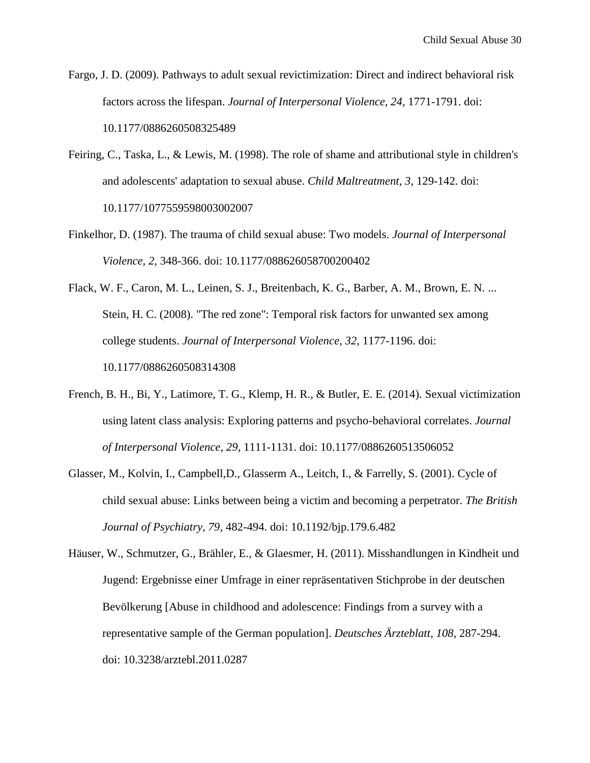Fargo, J. D. (2009). Pathways to adult sexual revictimization: Direct and indirect behavioral risk factors across the lifespan. *Journal of Interpersonal Violence, 24*, 1771-1791. doi: 10.1177/0886260508325489

- Feiring, C., Taska, L., & Lewis, M. (1998). The role of shame and attributional style in children's and adolescents' adaptation to sexual abuse. *Child Maltreatment, 3*, 129-142. doi: 10.1177/1077559598003002007
- Finkelhor, D. (1987). The trauma of child sexual abuse: Two models. *Journal of Interpersonal Violence, 2*, 348-366. doi: 10.1177/088626058700200402
- Flack, W. F., Caron, M. L., Leinen, S. J., Breitenbach, K. G., Barber, A. M., Brown, E. N. ... Stein, H. C. (2008). "The red zone": Temporal risk factors for unwanted sex among college students. *Journal of Interpersonal Violence, 32*, 1177-1196. doi: 10.1177/0886260508314308
- French, B. H., Bi, Y., Latimore, T. G., Klemp, H. R., & Butler, E. E. (2014). Sexual victimization using latent class analysis: Exploring patterns and psycho-behavioral correlates. *Journal of Interpersonal Violence, 29*, 1111-1131. doi: 10.1177/0886260513506052
- Glasser, M., Kolvin, I., Campbell,D., Glasserm A., Leitch, I., & Farrelly, S. (2001). Cycle of child sexual abuse: Links between being a victim and becoming a perpetrator. *The British Journal of Psychiatry, 79*, 482-494. doi: 10.1192/bjp.179.6.482
- Häuser, W., Schmutzer, G., Brähler, E., & Glaesmer, H. (2011). Misshandlungen in Kindheit und Jugend: Ergebnisse einer Umfrage in einer repräsentativen Stichprobe in der deutschen Bevölkerung [Abuse in childhood and adolescence: Findings from a survey with a representative sample of the German population]. *Deutsches Ärzteblatt, 108*, 287-294. doi: 10.3238/arztebl.2011.0287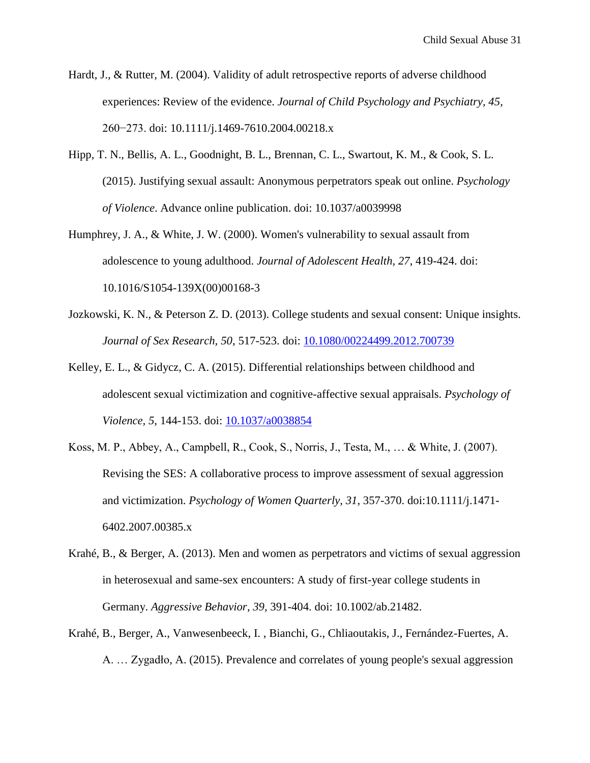- Hardt, J., & Rutter, M. (2004). Validity of adult retrospective reports of adverse childhood experiences: Review of the evidence. *Journal of Child Psychology and Psychiatry, 45*, 260−273. doi: 10.1111/j.1469-7610.2004.00218.x
- Hipp, T. N., Bellis, A. L., Goodnight, B. L., Brennan, C. L., Swartout, K. M., & Cook, S. L. (2015). Justifying sexual assault: Anonymous perpetrators speak out online. *Psychology of Violence*. Advance online publication. doi: [10.1037/a0039998](http://dx.doi.org/10.1037/a0039998)
- Humphrey, J. A., & White, J. W. (2000). Women's vulnerability to sexual assault from adolescence to young adulthood. *Journal of Adolescent Health, 27*, 419-424. doi: 10.1016/S1054-139X(00)00168-3
- Jozkowski, K. N., & Peterson Z. D. (2013). College students and sexual consent: Unique insights. *Journal of Sex Research, 50*, 517-523. doi: [10.1080/00224499.2012.700739](http://dx.doi.org/10.1080/00224499.2012.700739)
- Kelley, E. L., & Gidycz, C. A. (2015). Differential relationships between childhood and adolescent sexual victimization and cognitive-affective sexual appraisals. *Psychology of Violence, 5*, 144-153. doi: [10.1037/a0038854](http://dx.doi.org/10.1037/a0038854)
- Koss, M. P., Abbey, A., Campbell, R., Cook, S., Norris, J., Testa, M., … & White, J. (2007). Revising the SES: A collaborative process to improve assessment of sexual aggression and victimization. *Psychology of Women Quarterly, 31*, 357-370. doi:10.1111/j.1471- 6402.2007.00385.x
- Krahé, B., & Berger, A. (2013). Men and women as perpetrators and victims of sexual aggression in heterosexual and same-sex encounters: A study of first-year college students in Germany. *Aggressive Behavior*, *39,* 391-404. doi: 10.1002/ab.21482.
- Krahé, B., Berger, A., Vanwesenbeeck, I. , Bianchi, G., Chliaoutakis, J., Fernández-Fuertes, A. A. … Zygadło, A. (2015). Prevalence and correlates of young people's sexual aggression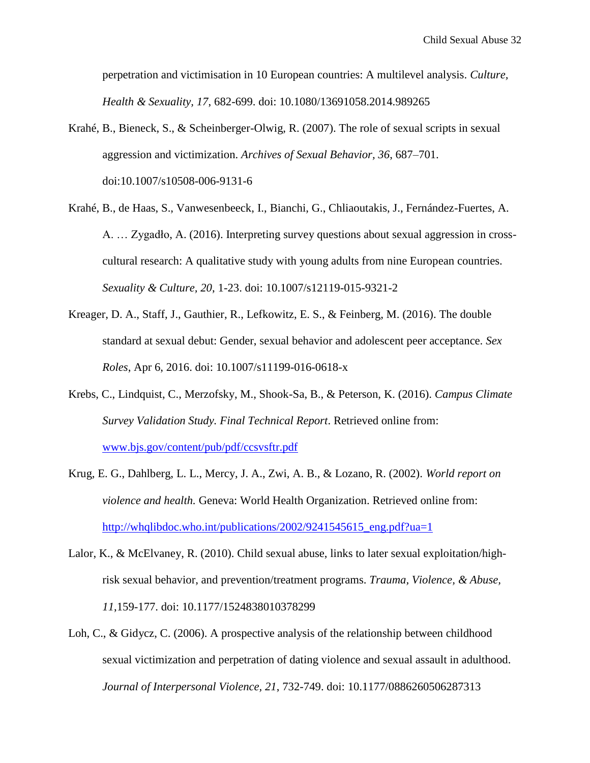perpetration and victimisation in 10 European countries: A multilevel analysis. *Culture, Health & Sexuality, 17*, 682-699. doi: 10.1080/13691058.2014.989265

- Krahé, B., Bieneck, S., & Scheinberger-Olwig, R. (2007). The role of sexual scripts in sexual aggression and victimization. *Archives of Sexual Behavior, 36*, 687–701. doi:10.1007/s10508-006-9131-6
- Krahé, B., de Haas, S., Vanwesenbeeck, I., Bianchi, G., Chliaoutakis, J., Fernández-Fuertes, A. A. … Zygadło, A. (2016). Interpreting survey questions about sexual aggression in crosscultural research: A qualitative study with young adults from nine European countries. *Sexuality & Culture, 20*, 1-23. doi: 10.1007/s12119-015-9321-2
- Kreager, D. A., Staff, J., Gauthier, R., Lefkowitz, E. S., & Feinberg, M. (2016). The double standard at sexual debut: Gender, sexual behavior and adolescent peer acceptance. *Sex Roles*, Apr 6, 2016. doi: 10.1007/s11199-016-0618-x
- Krebs, C., Lindquist, C., Merzofsky, M., Shook-Sa, B., & Peterson, K. (2016). *Campus Climate Survey Validation Study. Final Technical Report*. Retrieved online from: [www.bjs.gov/content/pub/pdf/ccsvsftr.pdf](http://www.bjs.gov/content/pub/pdf/ccsvsftr.pdf)
- Krug, E. G., Dahlberg, L. L., Mercy, J. A., Zwi, A. B., & Lozano, R. (2002). *World report on violence and health.* Geneva: World Health Organization. Retrieved online from: [http://whqlibdoc.who.int/publications/2002/9241545615\\_eng.pdf?ua=1](http://whqlibdoc.who.int/publications/2002/9241545615_eng.pdf?ua=1)
- Lalor, K., & McElvaney, R. (2010). Child sexual abuse, links to later sexual exploitation/highrisk sexual behavior, and prevention/treatment programs. *Trauma, Violence, & Abuse, 11*,159-177. doi: 10.1177/1524838010378299
- Loh, C., & Gidycz, C. (2006). A prospective analysis of the relationship between childhood sexual victimization and perpetration of dating violence and sexual assault in adulthood. *Journal of Interpersonal Violence, 21*, 732-749. doi: 10.1177/0886260506287313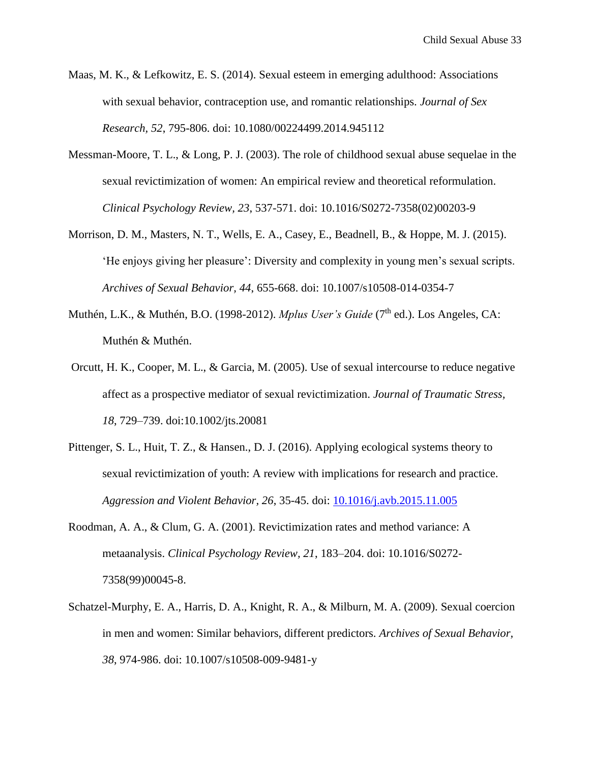- Maas, M. K., & Lefkowitz, E. S. (2014). Sexual esteem in emerging adulthood: Associations with sexual behavior, contraception use, and romantic relationships. *Journal of Sex Research, 52*, 795-806. doi: 10.1080/00224499.2014.945112
- Messman-Moore, T. L., & Long, P. J. (2003). The role of childhood sexual abuse sequelae in the sexual revictimization of women: An empirical review and theoretical reformulation. *Clinical Psychology Review, 23*, 537-571. doi: 10.1016/S0272-7358(02)00203-9
- Morrison, D. M., Masters, N. T., Wells, E. A., Casey, E., Beadnell, B., & Hoppe, M. J. (2015). 'He enjoys giving her pleasure': Diversity and complexity in young men's sexual scripts. *Archives of Sexual Behavior, 44*, 655-668. doi: 10.1007/s10508-014-0354-7
- Muthén, L.K., & Muthén, B.O. (1998-2012). *Mplus User's Guide* (7<sup>th</sup> ed.). Los Angeles, CA: Muthén & Muthén.
- Orcutt, H. K., Cooper, M. L., & Garcia, M. (2005). Use of sexual intercourse to reduce negative affect as a prospective mediator of sexual revictimization. *Journal of Traumatic Stress, 18*, 729–739. doi:10.1002/jts.20081
- Pittenger, S. L., Huit, T. Z., & Hansen., D. J. (2016). Applying ecological systems theory to sexual revictimization of youth: A review with implications for research and practice. *Aggression and Violent Behavior, 26*, 35-45. doi: [10.1016/j.avb.2015.11.005](http://dx.doi.org/10.1016/j.avb.2015.11.005)
- Roodman, A. A., & Clum, G. A. (2001). Revictimization rates and method variance: A metaanalysis. *Clinical Psychology Review, 21*, 183–204. doi: 10.1016/S0272- 7358(99)00045-8.
- Schatzel-Murphy, E. A., Harris, D. A., Knight, R. A., & Milburn, M. A. (2009). Sexual coercion in men and women: Similar behaviors, different predictors. *Archives of Sexual Behavior, 38*, 974-986. doi: 10.1007/s10508-009-9481-y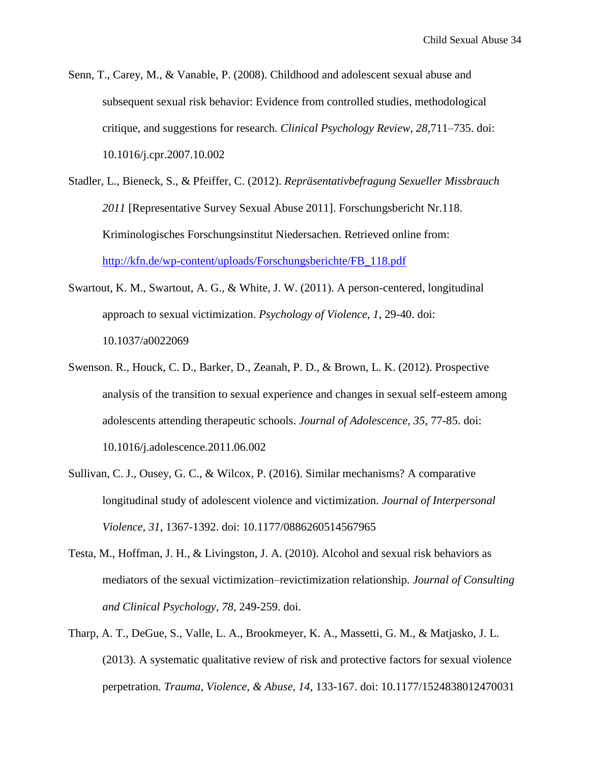- Senn, T., Carey, M., & Vanable, P. (2008). Childhood and adolescent sexual abuse and subsequent sexual risk behavior: Evidence from controlled studies, methodological critique, and suggestions for research. *Clinical Psychology Review, 28*,711–735. doi: 10.1016/j.cpr.2007.10.002
- Stadler, L., Bieneck, S., & Pfeiffer, C. (2012). *Repräsentativbefragung Sexueller Missbrauch 2011* [Representative Survey Sexual Abuse 2011]. Forschungsbericht Nr.118. Kriminologisches Forschungsinstitut Niedersachen. Retrieved online from: [http://kfn.de/wp-content/uploads/Forschungsberichte/FB\\_118.pdf](http://kfn.de/wp-content/uploads/Forschungsberichte/FB_118.pdf)
- Swartout, K. M., Swartout, A. G., & White, J. W. (2011). A person-centered, longitudinal approach to sexual victimization. *Psychology of Violence, 1*, 29-40. doi: 10.1037/a0022069
- Swenson. R., Houck, C. D., Barker, D., Zeanah, P. D., & Brown, L. K. (2012). Prospective analysis of the transition to sexual experience and changes in sexual self-esteem among adolescents attending therapeutic schools. *Journal of Adolescence, 35*, 77-85. doi: 10.1016/j.adolescence.2011.06.002
- Sullivan, C. J., Ousey, G. C., & Wilcox, P. (2016). Similar mechanisms? A comparative longitudinal study of adolescent violence and victimization. *Journal of Interpersonal Violence, 31*, 1367-1392. doi: 10.1177/0886260514567965
- Testa, M., Hoffman, J. H., & Livingston, J. A. (2010). Alcohol and sexual risk behaviors as mediators of the sexual victimization–revictimization relationship. *Journal of Consulting and Clinical Psychology, 78*, 249-259. doi.
- Tharp, A. T., DeGue, S., Valle, L. A., Brookmeyer, K. A., Massetti, G. M., & Matjasko, J. L. (2013). A systematic qualitative review of risk and protective factors for sexual violence perpetration. *Trauma, Violence, & Abuse, 14*, 133-167. doi: 10.1177/1524838012470031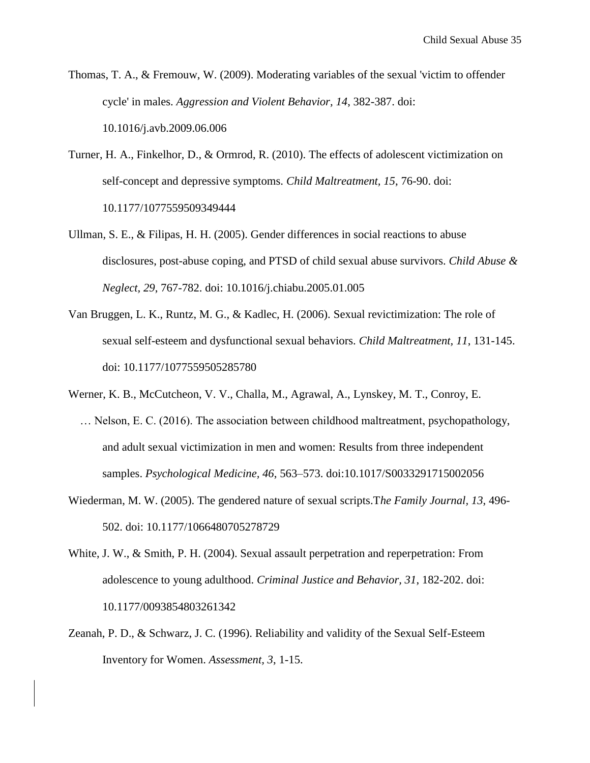- Thomas, T. A., & Fremouw, W. (2009). Moderating variables of the sexual 'victim to offender cycle' in males. *Aggression and Violent Behavior, 14*, 382-387. doi: 10.1016/j.avb.2009.06.006
- Turner, H. A., Finkelhor, D., & Ormrod, R. (2010). The effects of adolescent victimization on self-concept and depressive symptoms. *Child Maltreatment, 15*, 76-90. doi: 10.1177/1077559509349444
- Ullman, S. E., & Filipas, H. H. (2005). Gender differences in social reactions to abuse disclosures, post-abuse coping, and PTSD of child sexual abuse survivors. *Child Abuse & Neglect, 29*, 767-782. doi: 10.1016/j.chiabu.2005.01.005
- Van Bruggen, L. K., Runtz, M. G., & Kadlec, H. (2006). Sexual revictimization: The role of sexual self-esteem and dysfunctional sexual behaviors. *Child Maltreatment, 11*, 131-145. doi: 10.1177/1077559505285780
- Werner, K. B., McCutcheon, V. V., Challa, M., Agrawal, A., Lynskey, M. T., Conroy, E.
	- … Nelson, E. C. (2016). The association between childhood maltreatment, psychopathology, and adult sexual victimization in men and women: Results from three independent samples. *Psychological Medicine, 46*, 563–573. doi:10.1017/S0033291715002056
- Wiederman, M. W. (2005). The gendered nature of sexual scripts.T*he Family Journal, 13*, 496- 502. doi: 10.1177/1066480705278729
- White, J. W., & Smith, P. H. (2004). Sexual assault perpetration and reperpetration: From adolescence to young adulthood. *Criminal Justice and Behavior, 31*, 182-202. doi: 10.1177/0093854803261342
- Zeanah, P. D., & Schwarz, J. C. (1996). Reliability and validity of the Sexual Self-Esteem Inventory for Women. *Assessment, 3*, 1-15.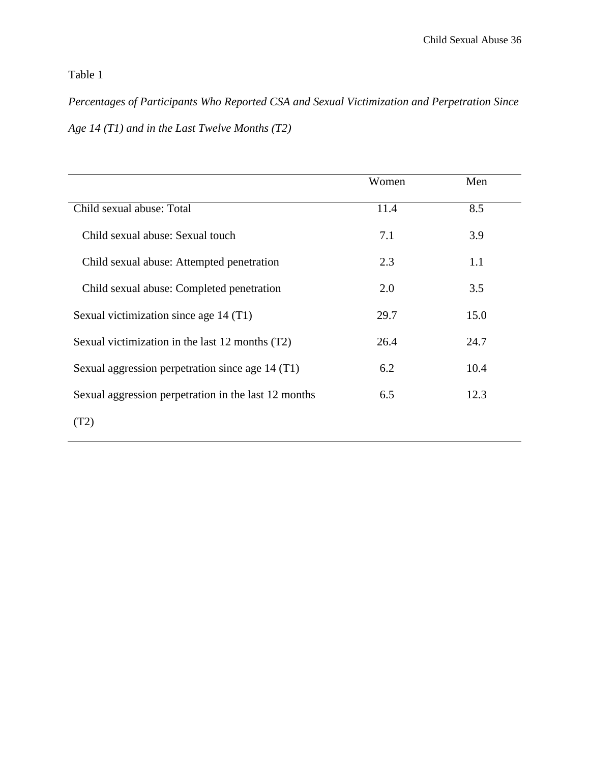# Table 1

*Percentages of Participants Who Reported CSA and Sexual Victimization and Perpetration Since Age 14 (T1) and in the Last Twelve Months (T2)*

|                                                      | Women | Men  |
|------------------------------------------------------|-------|------|
| Child sexual abuse: Total                            | 11.4  | 8.5  |
| Child sexual abuse: Sexual touch                     | 7.1   | 3.9  |
| Child sexual abuse: Attempted penetration            | 2.3   | 1.1  |
| Child sexual abuse: Completed penetration            | 2.0   | 3.5  |
| Sexual victimization since age 14 (T1)               | 29.7  | 15.0 |
| Sexual victimization in the last 12 months (T2)      | 26.4  | 24.7 |
| Sexual aggression perpetration since age 14 (T1)     | 6.2   | 10.4 |
| Sexual aggression perpetration in the last 12 months | 6.5   | 12.3 |
| (T2)                                                 |       |      |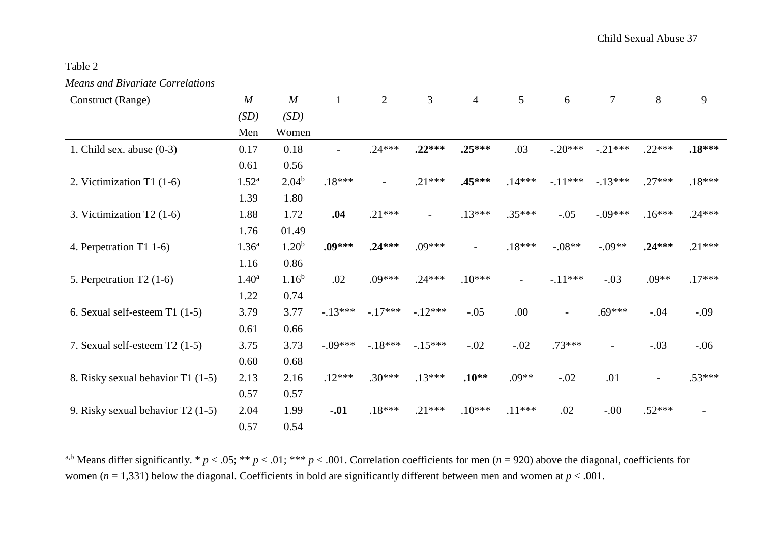Table 2

|  |  |  | <b>Means and Bivariate Correlations</b> |
|--|--|--|-----------------------------------------|
|--|--|--|-----------------------------------------|

| Construct (Range)                 | $\boldsymbol{M}$  | $\boldsymbol{M}$ |           | $\overline{2}$ | 3                        | $\overline{4}$           | 5                        | 6         | $\overline{7}$ | 8        | 9        |
|-----------------------------------|-------------------|------------------|-----------|----------------|--------------------------|--------------------------|--------------------------|-----------|----------------|----------|----------|
|                                   | (SD)              | (SD)             |           |                |                          |                          |                          |           |                |          |          |
|                                   | Men               | Women            |           |                |                          |                          |                          |           |                |          |          |
| 1. Child sex. abuse $(0-3)$       | 0.17              | 0.18             |           | $.24***$       | $.22***$                 | $.25***$                 | .03                      | $-.20***$ | $-.21***$      | $.22***$ | $.18***$ |
|                                   | 0.61              | 0.56             |           |                |                          |                          |                          |           |                |          |          |
| 2. Victimization T1 $(1-6)$       | $1.52^{\rm a}$    | $2.04^b$         | $.18***$  |                | $.21***$                 | .45***                   | $.14***$                 | $-.11***$ | $-13***$       | $.27***$ | $.18***$ |
|                                   | 1.39              | 1.80             |           |                |                          |                          |                          |           |                |          |          |
| 3. Victimization T2 (1-6)         | 1.88              | 1.72             | .04       | $.21***$       | $\overline{\phantom{0}}$ | $.13***$                 | $.35***$                 | $-.05$    | $-.09***$      | $.16***$ | $.24***$ |
|                                   | 1.76              | 01.49            |           |                |                          |                          |                          |           |                |          |          |
| 4. Perpetration T1 1-6)           | 1.36 <sup>a</sup> | $1.20^{b}$       | .09***    | $.24***$       | $.09***$                 | $\overline{\phantom{a}}$ | $.18***$                 | $-.08**$  | $-.09**$       | $.24***$ | $.21***$ |
|                                   | 1.16              | 0.86             |           |                |                          |                          |                          |           |                |          |          |
| 5. Perpetration $T2(1-6)$         | 1.40 <sup>a</sup> | $1.16^{b}$       | .02       | $.09***$       | $.24***$                 | $.10***$                 | $\overline{\phantom{0}}$ | $-.11***$ | $-.03$         | $.09**$  | $.17***$ |
|                                   | 1.22              | 0.74             |           |                |                          |                          |                          |           |                |          |          |
| 6. Sexual self-esteem $T1$ (1-5)  | 3.79              | 3.77             | $-13***$  | $-.17***$      | $-12***$                 | $-.05$                   | .00                      |           | $.69***$       | $-.04$   | $-.09$   |
|                                   | 0.61              | 0.66             |           |                |                          |                          |                          |           |                |          |          |
| 7. Sexual self-esteem $T2(1-5)$   | 3.75              | 3.73             | $-.09***$ | $-18***$       | $-15***$                 | $-.02$                   | $-.02$                   | .73***    | $\overline{a}$ | $-.03$   | $-.06$   |
|                                   | 0.60              | 0.68             |           |                |                          |                          |                          |           |                |          |          |
| 8. Risky sexual behavior T1 (1-5) | 2.13              | 2.16             | $.12***$  | $.30***$       | $.13***$                 | $.10**$                  | $.09**$                  | $-.02$    | .01            |          | $.53***$ |
|                                   | 0.57              | 0.57             |           |                |                          |                          |                          |           |                |          |          |
| 9. Risky sexual behavior T2 (1-5) | 2.04              | 1.99             | $-.01$    | $.18***$       | $.21***$                 | $.10***$                 | $.11***$                 | .02       | $-.00$         | $.52***$ |          |
|                                   | 0.57              | 0.54             |           |                |                          |                          |                          |           |                |          |          |

<sup>a,b</sup> Means differ significantly. \*  $p < .05$ ; \*\*  $p < .01$ ; \*\*\*  $p < .001$ . Correlation coefficients for men ( $n = 920$ ) above the diagonal, coefficients for women ( $n = 1,331$ ) below the diagonal. Coefficients in bold are significantly different between men and women at  $p < .001$ .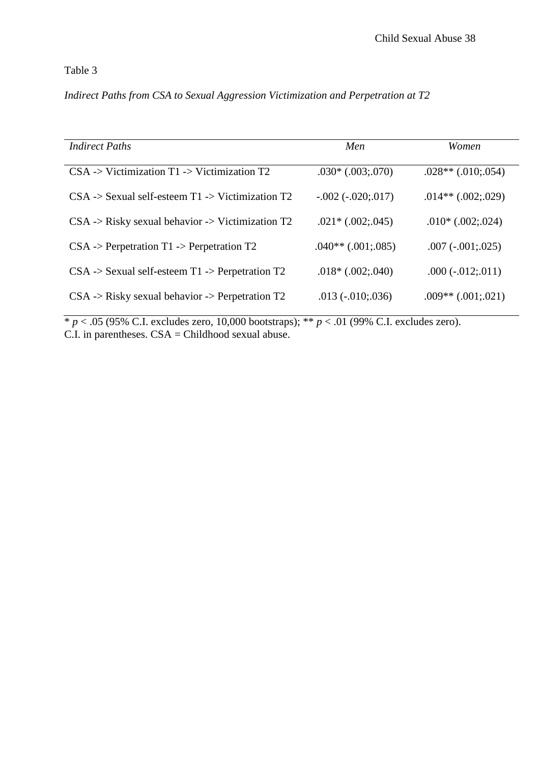# Table 3

# *Indirect Paths from CSA to Sexual Aggression Victimization and Perpetration at T2*

| <b>Indirect Paths</b>                                                  | Men                    | <i>Women</i>            |
|------------------------------------------------------------------------|------------------------|-------------------------|
| $CSA \rightarrow Victimization T1 \rightarrow Victimization T2$        | $.030*(.003; .070)$    | $.028**$ $(.010:.054)$  |
| $CSA \rightarrow$ Sexual self-esteem T1 -> Victimization T2            | $-.002 (-020).017)$    | $.014**$ $(.002; .029)$ |
| $CSA \rightarrow Risky$ sexual behavior $\rightarrow$ Victimization T2 | $.021*(.002; .045)$    | $.010*(.002; .024)$     |
| $CSA \rightarrow Perpetration T1 \rightarrow Perpetration T2$          | $.040**$ $(.001:.085)$ | $.007 (-001; 025)$      |
| $CSA \rightarrow$ Sexual self-esteem T1 -> Perpetration T2             | $.018*(.002; .040)$    | $.000 (-012; 011)$      |
| $CSA \rightarrow Risky$ sexual behavior $\rightarrow$ Perpetration T2  | $.013(-.010:.036)$     | $.009**$ $(.001:.021)$  |

\* *p* < .05 (95% C.I. excludes zero, 10,000 bootstraps); \*\* *p* < .01 (99% C.I. excludes zero).  $C.I.$  in parentheses.  $CSA = Childhood$  sexual abuse.